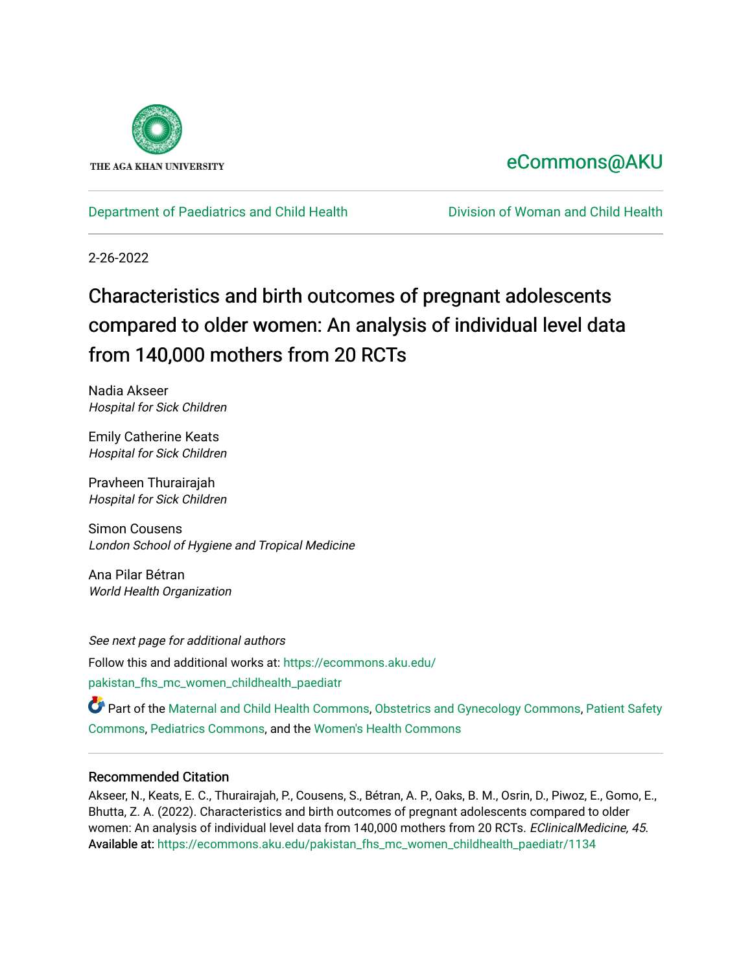

## [eCommons@AKU](https://ecommons.aku.edu/)

[Department of Paediatrics and Child Health](https://ecommons.aku.edu/pakistan_fhs_mc_women_childhealth_paediatr) [Division of Woman and Child Health](https://ecommons.aku.edu/pakistan_fhs_mc_women_childhealth) 

2-26-2022

# Characteristics and birth outcomes of pregnant adolescents compared to older women: An analysis of individual level data from 140,000 mothers from 20 RCTs

Nadia Akseer Hospital for Sick Children

Emily Catherine Keats Hospital for Sick Children

Pravheen Thurairajah Hospital for Sick Children

Simon Cousens London School of Hygiene and Tropical Medicine

Ana Pilar Bétran World Health Organization

See next page for additional authors Follow this and additional works at: [https://ecommons.aku.edu/](https://ecommons.aku.edu/pakistan_fhs_mc_women_childhealth_paediatr?utm_source=ecommons.aku.edu%2Fpakistan_fhs_mc_women_childhealth_paediatr%2F1134&utm_medium=PDF&utm_campaign=PDFCoverPages) [pakistan\\_fhs\\_mc\\_women\\_childhealth\\_paediatr](https://ecommons.aku.edu/pakistan_fhs_mc_women_childhealth_paediatr?utm_source=ecommons.aku.edu%2Fpakistan_fhs_mc_women_childhealth_paediatr%2F1134&utm_medium=PDF&utm_campaign=PDFCoverPages) 

Part of the [Maternal and Child Health Commons,](http://network.bepress.com/hgg/discipline/745?utm_source=ecommons.aku.edu%2Fpakistan_fhs_mc_women_childhealth_paediatr%2F1134&utm_medium=PDF&utm_campaign=PDFCoverPages) [Obstetrics and Gynecology Commons,](http://network.bepress.com/hgg/discipline/693?utm_source=ecommons.aku.edu%2Fpakistan_fhs_mc_women_childhealth_paediatr%2F1134&utm_medium=PDF&utm_campaign=PDFCoverPages) [Patient Safety](http://network.bepress.com/hgg/discipline/1410?utm_source=ecommons.aku.edu%2Fpakistan_fhs_mc_women_childhealth_paediatr%2F1134&utm_medium=PDF&utm_campaign=PDFCoverPages) [Commons](http://network.bepress.com/hgg/discipline/1410?utm_source=ecommons.aku.edu%2Fpakistan_fhs_mc_women_childhealth_paediatr%2F1134&utm_medium=PDF&utm_campaign=PDFCoverPages), [Pediatrics Commons,](http://network.bepress.com/hgg/discipline/700?utm_source=ecommons.aku.edu%2Fpakistan_fhs_mc_women_childhealth_paediatr%2F1134&utm_medium=PDF&utm_campaign=PDFCoverPages) and the [Women's Health Commons](http://network.bepress.com/hgg/discipline/1241?utm_source=ecommons.aku.edu%2Fpakistan_fhs_mc_women_childhealth_paediatr%2F1134&utm_medium=PDF&utm_campaign=PDFCoverPages) 

## Recommended Citation

Akseer, N., Keats, E. C., Thurairajah, P., Cousens, S., Bétran, A. P., Oaks, B. M., Osrin, D., Piwoz, E., Gomo, E., Bhutta, Z. A. (2022). Characteristics and birth outcomes of pregnant adolescents compared to older women: An analysis of individual level data from 140,000 mothers from 20 RCTs. EClinicalMedicine, 45. Available at: [https://ecommons.aku.edu/pakistan\\_fhs\\_mc\\_women\\_childhealth\\_paediatr/1134](https://ecommons.aku.edu/pakistan_fhs_mc_women_childhealth_paediatr/1134)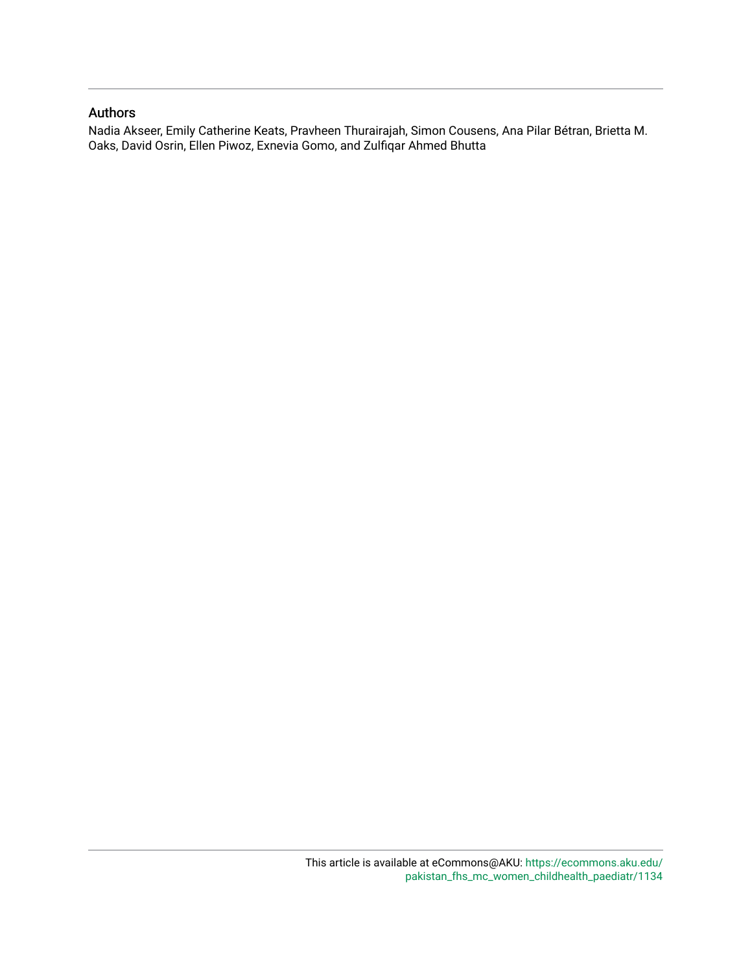## Authors

Nadia Akseer, Emily Catherine Keats, Pravheen Thurairajah, Simon Cousens, Ana Pilar Bétran, Brietta M. Oaks, David Osrin, Ellen Piwoz, Exnevia Gomo, and Zulfiqar Ahmed Bhutta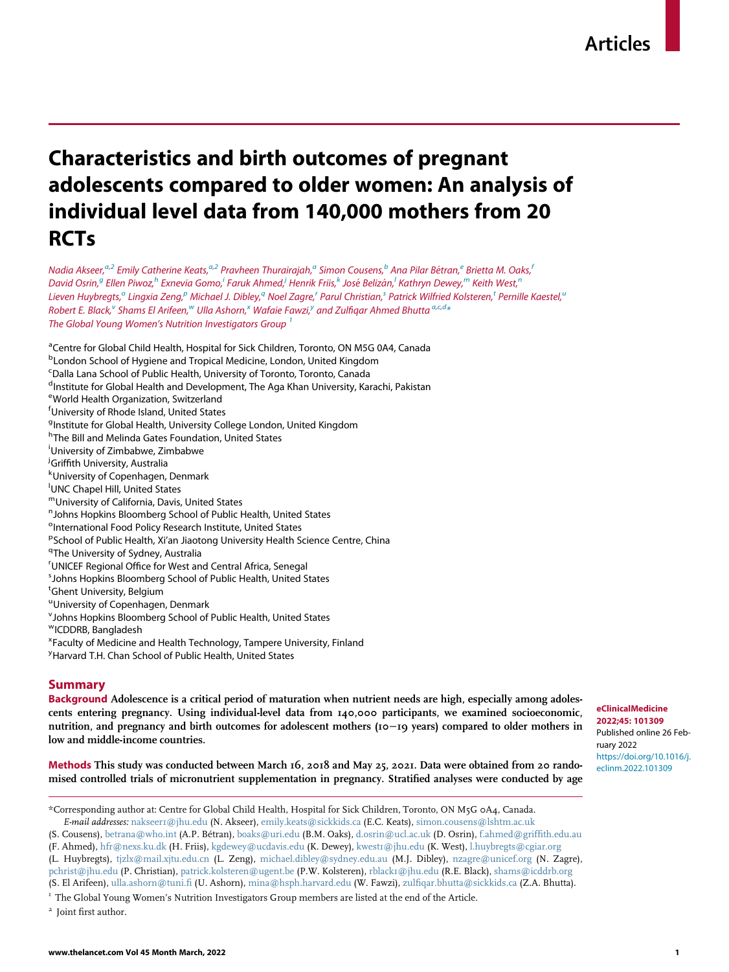## Characteristics and birth outcomes of pregnant adolescents compared to older women: An analysis of individual level data from 140,000 mothers from 20 **RCTs**

N[a](#page-2-0)dia Akseer,<sup>a[,2](#page-2-1)</sup> Emily Catherine Keats,<sup>a,2</sup> Pravheen Thurairajah,<sup>a</sup> Simon Cousens,<sup>[b](#page-2-2)</sup> Ana Pilar Bétran,<sup>e</sup> Brietta M. Oaks,<sup>[f](#page-2-4)</sup> David Osrin,<sup>[g](#page-2-5)</sup> Ellen Piwoz,<sup>[h](#page-2-6)</sup> Exnev[i](#page-2-7)a Gomo,<sup>i</sup> Faru[k](#page-2-9) Ahmed,<sup>i</sup> Henrik Friis,<sup>k</sup> José Be[l](#page-2-10)izán,<sup>i</sup> Kathryn Dewey,<sup>[m](#page-2-11)</sup> Keith West,<sup>[n](#page-2-12)</sup> Lieven Huyb[r](#page-2-16)egt[s](#page-2-17), $^\circ$  Lingxia Zeng, $^p$  $^p$  Michael J. Dibley, $^q$  $^q$  N[o](#page-2-13)el Zagre, $^r$  Parul Chris[t](#page-2-18)ian, $^s$  Patrick Wilfried Kolsteren, $^t$  Pernille Kaestel, $^u$  $^u$ Robert E. Bl[a](#page-2-0)[c](#page-2-24)k, $^{\vee}$  $^{\vee}$  $^{\vee}$  Shams El Arifeen, $^{\omega}$  Ulla Ashorn, $^{\chi}$  Wafaie Fa[w](#page-2-21)zi, $^{\jmath}$  an[d](#page-2-25) Zulfiqar Ahmed Bhutta  $^{a,c,d}$ The Global Young Women's Nutrition Investigators Group<sup>[1](#page-2-27)</sup>

- <span id="page-2-0"></span><sup>a</sup>Centre for Global Child Health, Hospital for Sick Children, Toronto, ON M5G 0A4, Canada
- <span id="page-2-2"></span>**<sup>b</sup>London School of Hygiene and Tropical Medicine, London, United Kingdom**
- <span id="page-2-24"></span><sup>c</sup>Dalla Lana School of Public Health, University of Toronto, Toronto, Canada
- <span id="page-2-25"></span><sup>d</sup>Institute for Global Health and Development, The Aga Khan University, Karachi, Pakistan
- <span id="page-2-3"></span>e World Health Organization, Switzerland
- <span id="page-2-4"></span>f University of Rhode Island, United States
- <span id="page-2-5"></span><sup>g</sup>Institute for Global Health, University College London, United Kingdom
- <span id="page-2-6"></span><sup>h</sup>The Bill and Melinda Gates Foundation, United States
- <span id="page-2-7"></span>i University of Zimbabwe, Zimbabwe
- <span id="page-2-8"></span>*i***Griffith University, Australia**<br><sup>k</sup>University of Copenhagen
- <span id="page-2-9"></span>University of Copenhagen, Denmark
- <span id="page-2-10"></span>UNC Chapel Hill, United States
- <span id="page-2-11"></span>mUniversity of California, Davis, United States
- <span id="page-2-12"></span><sup>n</sup> Johns Hopkins Bloomberg School of Public Health, United States
- <span id="page-2-13"></span><sup>o</sup>International Food Policy Research Institute, United States
- <span id="page-2-14"></span><sup>p</sup>School of Public Health, Xi'an Jiaotong University Health Science Centre, China<br><sup>9Tho University of Sydnov, Australia</sup>
- <span id="page-2-16"></span><span id="page-2-15"></span><sup>q</sup>The University of Sydney, Australia
- <sup>r</sup>UNICEF Regional Office for West and Central Africa, Senegal<br><sup>5</sup> Johns Hopkins Bloomborg School of Public Hoalth, United S
- <span id="page-2-17"></span>Johns Hopkins Bloomberg School of Public Health, United States
- <span id="page-2-18"></span>t Ghent University, Belgium
- <span id="page-2-19"></span><sup>u</sup>University of Copenhagen, Denmark
- <span id="page-2-20"></span>v Johns Hopkins Bloomberg School of Public Health, United States
- <span id="page-2-21"></span>wICDDRB, Bangladesh
- <span id="page-2-22"></span>x Faculty of Medicine and Health Technology, Tampere University, Finland
- <span id="page-2-23"></span><sup>y</sup> Harvard T.H. Chan School of Public Health, United States

## Summary

Background Adolescence is a critical period of maturation when nutrient needs are high, especially among adolescents entering pregnancy. Using individual-level data from 140,000 participants, we examined socioeconomic, nutrition, and pregnancy and birth outcomes for adolescent mothers (10−19 years) compared to older mothers in low and middle-income countries.

Methods This study was conducted between March 16, 2018 and May 25, 2021. Data were obtained from 20 randomised controlled trials of micronutrient supplementation in pregnancy. Stratified analyses were conducted by age

<span id="page-2-26"></span>\*Corresponding author at: Centre for Global Child Health, Hospital for Sick Children, Toronto, ON M5G 0A4, Canada. E-mail addresses: [nakseer1@jhu.edu](mailto:nakseer1@jhu.edu) (N. Akseer), [emily.keats@sickkids.ca](mailto:emily.keats@sickkids.ca) (E.C. Keats), [simon.cousens@lshtm.ac.uk](mailto:simon.cousens@lshtm.ac.uk)

(S. Cousens), [betrana@who.int](mailto:betrana@who.int) (A.P. Betran), [boaks@uri.edu](mailto:boaks@uri.edu) (B.M. Oaks), [d.osrin@ucl.ac.uk](mailto:d.osrin@ucl.ac.uk) (D. Osrin), [f.ahmed@griffith.edu.au](mailto:f.ahmed@griffith.edu.au)

(F. Ahmed), [hfr@nexs.ku.dk](mailto:hfr@nexs.ku.dk) (H. Friis), [kgdewey@ucdavis.edu](mailto:kgdewey@ucdavis.edu) (K. Dewey), [kwest1@jhu.edu](mailto:kwest1@jhu.edu) (K. West), [l.huybregts@cgiar.org](mailto:l.huybregts@cgiar.org) (L. Huybregts), [tjzlx@mail.xjtu.edu.cn](mailto:tjzlx@mail.xjtu.edu.cn) (L. Zeng), [michael.dibley@sydney.edu.au](mailto:michael.dibley@sydney.edu.au) (M.J. Dibley), [nzagre@unicef.org](mailto:nzagre@unicef.org) (N. Zagre),

[pchrist@jhu.edu](mailto:pchrist@jhu.edu) (P. Christian), [patrick.kolsteren@ugent.be](mailto:patrick.kolsteren@ugent.be) (P.W. Kolsteren), [rblack1@jhu.edu](mailto:rblack1@jhu.edu) (R.E. Black), [shams@icddrb.org](mailto:shams@icddrb.org)

<span id="page-2-27"></span><sup>1</sup> The Global Young Women's Nutrition Investigators Group members are listed at the end of the Article.

<span id="page-2-1"></span><sup>2</sup> Joint first author.

eClinicalMedicine 2022;45: 101309 Published online 26 February 2022 [https://doi.org/10.1016/j.](https://doi.org/10.1016/j.eclinm.2022.101309) [eclinm.2022.101309](https://doi.org/10.1016/j.eclinm.2022.101309)

<sup>(</sup>S. El Arifeen), [ulla.ashorn@tuni.fi](mailto:ulla.ashorn@tuni.fi) (U. Ashorn), [mina@hsph.harvard.edu](mailto:mina@hsph.harvard.edu) (W. Fawzi), [zulfiqar.bhutta@sickkids.ca](mailto:zulfiqar.bhutta@sickkids.ca) (Z.A. Bhutta).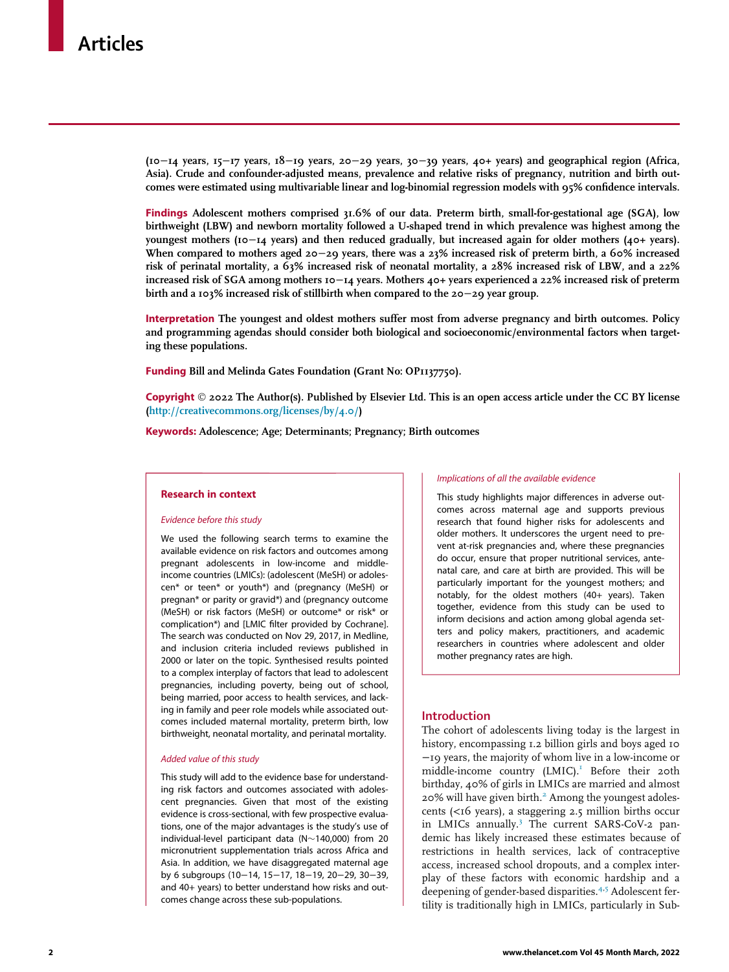(10−14 years, 15−17 years, 18−19 years, 20−29 years, 30−39 years, 40+ years) and geographical region (Africa, Asia). Crude and confounder-adjusted means, prevalence and relative risks of pregnancy, nutrition and birth outcomes were estimated using multivariable linear and log-binomial regression models with 95% confidence intervals.

Findings Adolescent mothers comprised 31.6% of our data. Preterm birth, small-for-gestational age (SGA), low birthweight (LBW) and newborn mortality followed a U-shaped trend in which prevalence was highest among the youngest mothers (10−14 years) and then reduced gradually, but increased again for older mothers (40+ years). When compared to mothers aged 20−29 years, there was a 23% increased risk of preterm birth, a 60% increased risk of perinatal mortality, a 63% increased risk of neonatal mortality, a 28% increased risk of LBW, and a 22% increased risk of SGA among mothers 10−14 years. Mothers 40+ years experienced a 22% increased risk of preterm birth and a 103% increased risk of stillbirth when compared to the 20−29 year group.

Interpretation The youngest and oldest mothers suffer most from adverse pregnancy and birth outcomes. Policy and programming agendas should consider both biological and socioeconomic/environmental factors when targeting these populations.

Funding Bill and Melinda Gates Foundation (Grant No: OP1137750).

Copyright  $\odot$  2022 The Author(s). Published by Elsevier Ltd. This is an open access article under the CC BY license (<http://creativecommons.org/licenses/by/4.0/>)

Keywords: Adolescence; Age; Determinants; Pregnancy; Birth outcomes

## Research in context

### Evidence before this study

We used the following search terms to examine the available evidence on risk factors and outcomes among pregnant adolescents in low-income and middleincome countries (LMICs): (adolescent (MeSH) or adolescen\* or teen\* or youth\*) and (pregnancy (MeSH) or pregnan\* or parity or gravid\*) and (pregnancy outcome (MeSH) or risk factors (MeSH) or outcome\* or risk\* or complication\*) and [LMIC filter provided by Cochrane]. The search was conducted on Nov 29, 2017, in Medline, and inclusion criteria included reviews published in 2000 or later on the topic. Synthesised results pointed to a complex interplay of factors that lead to adolescent pregnancies, including poverty, being out of school, being married, poor access to health services, and lacking in family and peer role models while associated outcomes included maternal mortality, preterm birth, low birthweight, neonatal mortality, and perinatal mortality.

## Added value of this study

This study will add to the evidence base for understanding risk factors and outcomes associated with adolescent pregnancies. Given that most of the existing evidence is cross-sectional, with few prospective evaluations, one of the major advantages is the study's use of individual-level participant data ( $N \sim 140,000$ ) from 20 micronutrient supplementation trials across Africa and Asia. In addition, we have disaggregated maternal age by 6 subgroups (10−14, 15−17, 18−19, 20−29, 30−39, and 40+ years) to better understand how risks and outcomes change across these sub-populations.

#### Implications of all the available evidence

This study highlights major differences in adverse outcomes across maternal age and supports previous research that found higher risks for adolescents and older mothers. It underscores the urgent need to prevent at-risk pregnancies and, where these pregnancies do occur, ensure that proper nutritional services, antenatal care, and care at birth are provided. This will be particularly important for the youngest mothers; and notably, for the oldest mothers (40+ years). Taken together, evidence from this study can be used to inform decisions and action among global agenda setters and policy makers, practitioners, and academic researchers in countries where adolescent and older mother pregnancy rates are high.

## Introduction

The cohort of adolescents living today is the largest in history, encompassing 1.2 billion girls and boys aged 10 −19 years, the majority of whom live in a low-income or middle-income country (LMIC).<sup>1</sup> Before their 20th birthday, 40% of girls in LMICs are married and almost [2](#page-13-1)0% will have given birth.<sup>2</sup> Among the youngest adolescents (<16 years), a staggering 2.5 million births occur in LMICs annually.[3](#page-13-2) The current SARS-CoV-2 pandemic has likely increased these estimates because of restrictions in health services, lack of contraceptive access, increased school dropouts, and a complex interplay of these factors with economic hardship and a deepening of gender-based disparities.<sup>[4](#page-13-3)[,5](#page-13-4)</sup> Adolescent fertility is traditionally high in LMICs, particularly in Sub-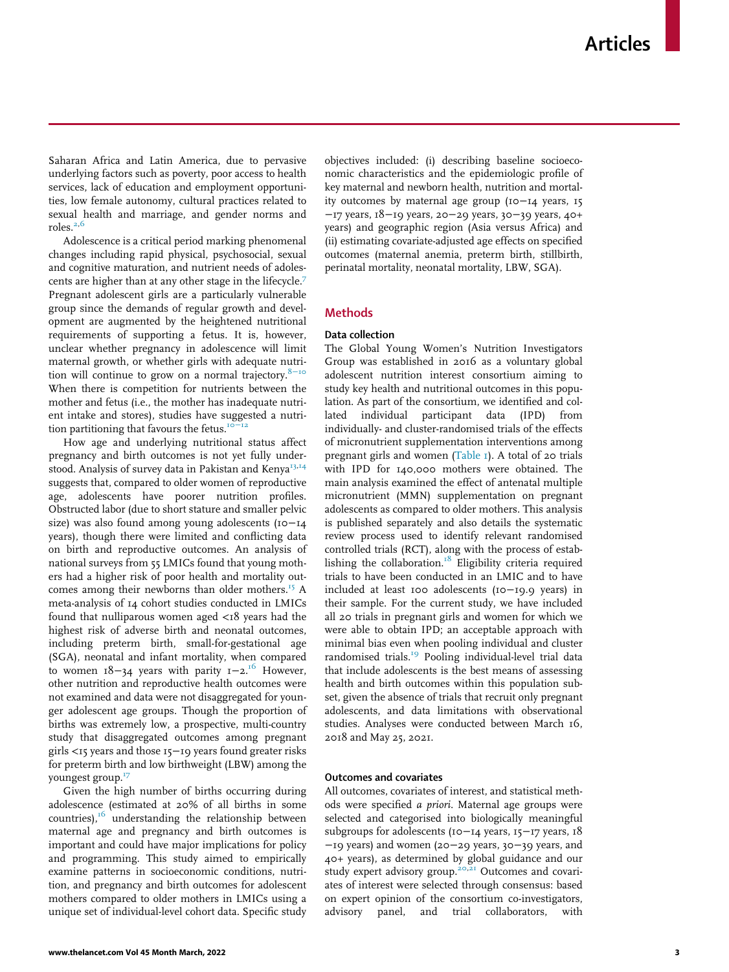Saharan Africa and Latin America, due to pervasive underlying factors such as poverty, poor access to health services, lack of education and employment opportunities, low female autonomy, cultural practices related to sexual health and marriage, and gender norms and roles. $2,6$  $2,6$ 

Adolescence is a critical period marking phenomenal changes including rapid physical, psychosocial, sexual and cognitive maturation, and nutrient needs of adolescents are higher than at any other stage in the lifecycle.[7](#page-14-1) Pregnant adolescent girls are a particularly vulnerable group since the demands of regular growth and development are augmented by the heightened nutritional requirements of supporting a fetus. It is, however, unclear whether pregnancy in adolescence will limit maternal growth, or whether girls with adequate nutrition will continue to grow on a normal trajectory. $8-10$  $8-10$ When there is competition for nutrients between the mother and fetus (i.e., the mother has inadequate nutrient intake and stores), studies have suggested a nutri-tion partitioning that favours the fetus.<sup>[10](#page-14-3)</sup>

How age and underlying nutritional status affect pregnancy and birth outcomes is not yet fully under-stood. Analysis of survey data in Pakistan and Kenya<sup>[13](#page-14-4)[,14](#page-14-5)</sup> suggests that, compared to older women of reproductive age, adolescents have poorer nutrition profiles. Obstructed labor (due to short stature and smaller pelvic size) was also found among young adolescents (10−14 years), though there were limited and conflicting data on birth and reproductive outcomes. An analysis of national surveys from 55 LMICs found that young mothers had a higher risk of poor health and mortality out-comes among their newborns than older mothers.<sup>[15](#page-14-6)</sup> A meta-analysis of 14 cohort studies conducted in LMICs found that nulliparous women aged <18 years had the highest risk of adverse birth and neonatal outcomes, including preterm birth, small-for-gestational age (SGA), neonatal and infant mortality, when compared to women  $18-34$  years with parity  $1-2$ <sup>[16](#page-14-7)</sup> However, other nutrition and reproductive health outcomes were not examined and data were not disaggregated for younger adolescent age groups. Though the proportion of births was extremely low, a prospective, multi-country study that disaggregated outcomes among pregnant girls <15 years and those 15−19 years found greater risks for preterm birth and low birthweight (LBW) among the youngest group.[17](#page-14-8)

Given the high number of births occurring during adolescence (estimated at 20% of all births in some countries),<sup>[16](#page-14-7)</sup> understanding the relationship between maternal age and pregnancy and birth outcomes is important and could have major implications for policy and programming. This study aimed to empirically examine patterns in socioeconomic conditions, nutrition, and pregnancy and birth outcomes for adolescent mothers compared to older mothers in LMICs using a unique set of individual-level cohort data. Specific study

objectives included: (i) describing baseline socioeconomic characteristics and the epidemiologic profile of key maternal and newborn health, nutrition and mortality outcomes by maternal age group (10−14 years, 15 −17 years, 18−19 years, 20−29 years, 30−39 years, 40+ years) and geographic region (Asia versus Africa) and (ii) estimating covariate-adjusted age effects on specified outcomes (maternal anemia, preterm birth, stillbirth, perinatal mortality, neonatal mortality, LBW, SGA).

## **Methods**

## Data collection

The Global Young Women's Nutrition Investigators Group was established in 2016 as a voluntary global adolescent nutrition interest consortium aiming to study key health and nutritional outcomes in this population. As part of the consortium, we identified and collated individual participant data (IPD) from individually- and cluster-randomised trials of the effects of micronutrient supplementation interventions among pregnant girls and women ([Table 1\)](#page-5-0). A total of 20 trials with IPD for 140,000 mothers were obtained. The main analysis examined the effect of antenatal multiple micronutrient (MMN) supplementation on pregnant adolescents as compared to older mothers. This analysis is published separately and also details the systematic review process used to identify relevant randomised controlled trials (RCT), along with the process of estab-lishing the collaboration.<sup>[18](#page-14-9)</sup> Eligibility criteria required trials to have been conducted in an LMIC and to have included at least 100 adolescents (10−19.9 years) in their sample. For the current study, we have included all 20 trials in pregnant girls and women for which we were able to obtain IPD; an acceptable approach with minimal bias even when pooling individual and cluster randomised trials.<sup>[19](#page-14-10)</sup> Pooling individual-level trial data that include adolescents is the best means of assessing health and birth outcomes within this population subset, given the absence of trials that recruit only pregnant adolescents, and data limitations with observational studies. Analyses were conducted between March 16, 2018 and May 25, 2021.

## Outcomes and covariates

All outcomes, covariates of interest, and statistical methods were specified a priori. Maternal age groups were selected and categorised into biologically meaningful subgroups for adolescents (10−14 years, 15−17 years, 18 −19 years) and women (20−29 years, 30−39 years, and 40+ years), as determined by global guidance and our study expert advisory group.<sup>[20,](#page-14-11)[21](#page-14-12)</sup> Outcomes and covariates of interest were selected through consensus: based on expert opinion of the consortium co-investigators, advisory panel, and trial collaborators, with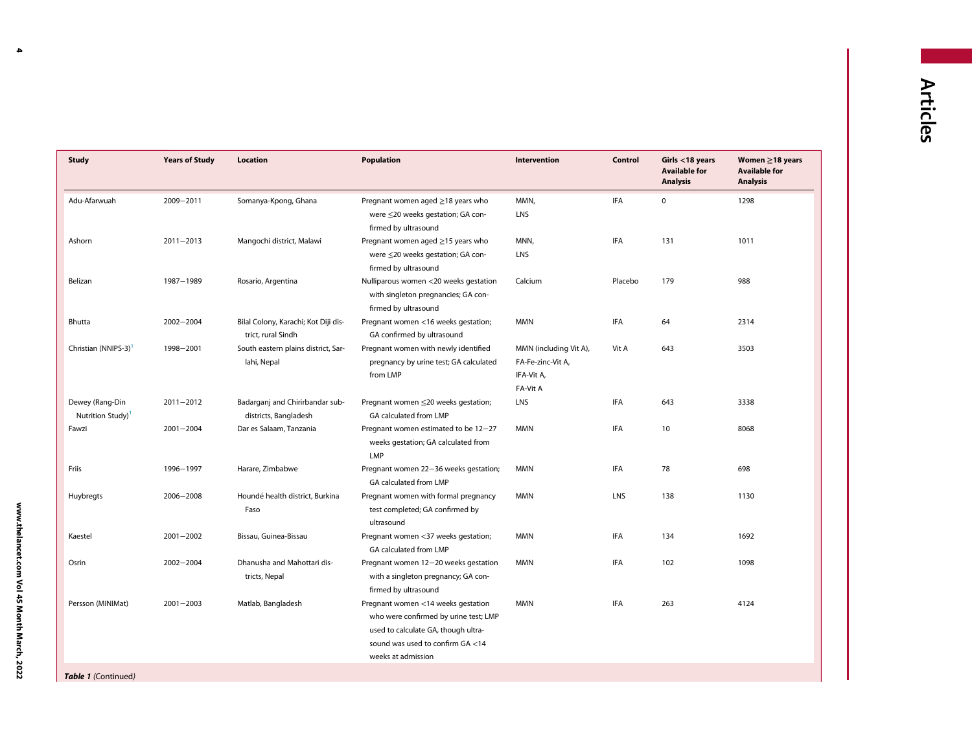<span id="page-5-0"></span>

| <b>Study</b>                                     | <b>Years of Study</b> | <b>Location</b>                                            | <b>Population</b>                                                                                                                                                            | Intervention                                                          | Control    | Girls $<$ 18 years<br><b>Available for</b><br><b>Analysis</b> | Women $\geq$ 18 years<br><b>Available for</b><br><b>Analysis</b> |
|--------------------------------------------------|-----------------------|------------------------------------------------------------|------------------------------------------------------------------------------------------------------------------------------------------------------------------------------|-----------------------------------------------------------------------|------------|---------------------------------------------------------------|------------------------------------------------------------------|
| Adu-Afarwuah                                     | 2009-2011             | Somanya-Kpong, Ghana                                       | Pregnant women aged ≥18 years who<br>were ≤20 weeks gestation; GA con-<br>firmed by ultrasound                                                                               | MMN,<br>LNS                                                           | <b>IFA</b> | $\mathbf 0$                                                   | 1298                                                             |
| Ashorn                                           | $2011 - 2013$         | Mangochi district, Malawi                                  | Pregnant women aged ≥15 years who<br>were ≤20 weeks gestation; GA con-<br>firmed by ultrasound                                                                               | MNN,<br>LNS                                                           | <b>IFA</b> | 131                                                           | 1011                                                             |
| Belizan                                          | 1987-1989             | Rosario, Argentina                                         | Nulliparous women <20 weeks gestation<br>with singleton pregnancies; GA con-<br>firmed by ultrasound                                                                         | Calcium                                                               | Placebo    | 179                                                           | 988                                                              |
| Bhutta                                           | $2002 - 2004$         | Bilal Colony, Karachi; Kot Diji dis-<br>trict, rural Sindh | Pregnant women <16 weeks gestation;<br>GA confirmed by ultrasound                                                                                                            | <b>MMN</b>                                                            | IFA        | 64                                                            | 2314                                                             |
| Christian (NNIPS-3) <sup>1</sup>                 | 1998-2001             | South eastern plains district, Sar-<br>lahi, Nepal         | Pregnant women with newly identified<br>pregnancy by urine test; GA calculated<br>from LMP                                                                                   | MMN (including Vit A),<br>FA-Fe-zinc-Vit A,<br>IFA-Vit A,<br>FA-Vit A | Vit A      | 643                                                           | 3503                                                             |
| Dewey (Rang-Din<br>Nutrition Study) <sup>1</sup> | $2011 - 2012$         | Badarganj and Chirirbandar sub-<br>districts, Bangladesh   | Pregnant women ≤20 weeks gestation;<br>GA calculated from LMP                                                                                                                | LNS                                                                   | <b>IFA</b> | 643                                                           | 3338                                                             |
| Fawzi                                            | $2001 - 2004$         | Dar es Salaam, Tanzania                                    | Pregnant women estimated to be 12-27<br>weeks gestation; GA calculated from<br><b>LMP</b>                                                                                    | <b>MMN</b>                                                            | IFA        | 10                                                            | 8068                                                             |
| Friis                                            | 1996-1997             | Harare, Zimbabwe                                           | Pregnant women 22-36 weeks gestation;<br>GA calculated from LMP                                                                                                              | <b>MMN</b>                                                            | IFA        | 78                                                            | 698                                                              |
| Huybregts                                        | 2006-2008             | Houndé health district, Burkina<br>Faso                    | Pregnant women with formal pregnancy<br>test completed; GA confirmed by<br>ultrasound                                                                                        | <b>MMN</b>                                                            | LNS        | 138                                                           | 1130                                                             |
| Kaestel                                          | $2001 - 2002$         | Bissau, Guinea-Bissau                                      | Pregnant women <37 weeks gestation;<br>GA calculated from LMP                                                                                                                | <b>MMN</b>                                                            | IFA        | 134                                                           | 1692                                                             |
| Osrin                                            | $2002 - 2004$         | Dhanusha and Mahottari dis-<br>tricts, Nepal               | Pregnant women 12-20 weeks gestation<br>with a singleton pregnancy; GA con-<br>firmed by ultrasound                                                                          | <b>MMN</b>                                                            | IFA        | 102                                                           | 1098                                                             |
| Persson (MINIMat)                                | $2001 - 2003$         | Matlab, Bangladesh                                         | Pregnant women <14 weeks gestation<br>who were confirmed by urine test; LMP<br>used to calculate GA, though ultra-<br>sound was used to confirm GA <14<br>weeks at admission | <b>MMN</b>                                                            | IFA        | 263                                                           | 4124                                                             |

4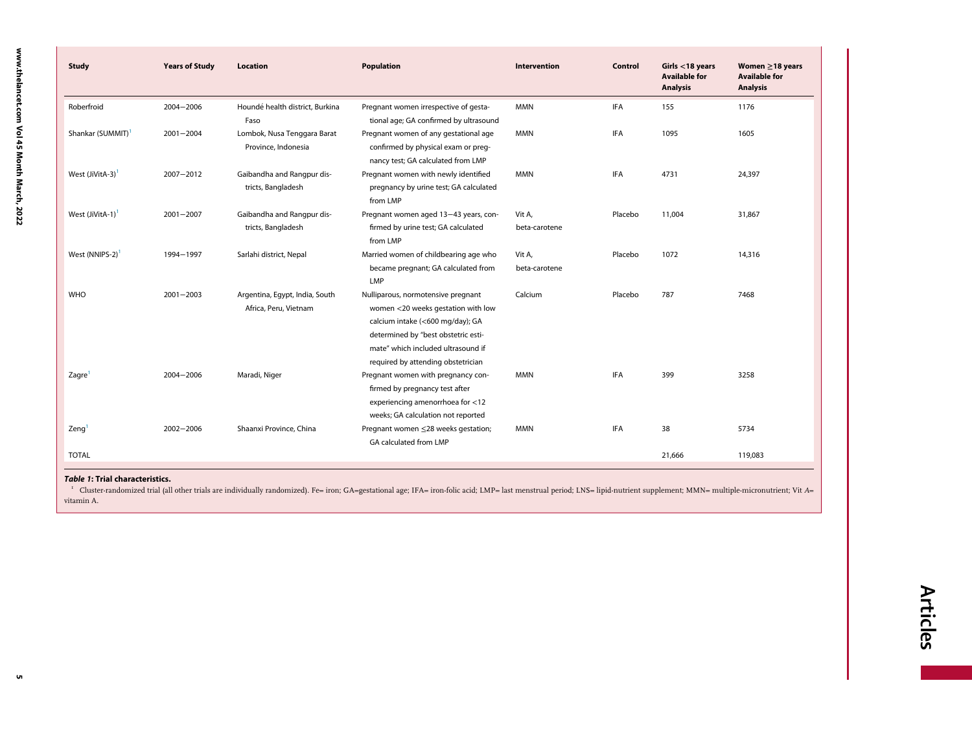<span id="page-6-0"></span>

| <b>Study</b>                 | <b>Years of Study</b> | <b>Location</b>                                         | Population                                                                                                                                                                                                                      | <b>Intervention</b>     | Control    | Girls $<$ 18 years<br><b>Available for</b><br><b>Analysis</b> | Women $\geq$ 18 years<br><b>Available for</b><br><b>Analysis</b> |
|------------------------------|-----------------------|---------------------------------------------------------|---------------------------------------------------------------------------------------------------------------------------------------------------------------------------------------------------------------------------------|-------------------------|------------|---------------------------------------------------------------|------------------------------------------------------------------|
| Roberfroid                   | 2004-2006             | Houndé health district, Burkina<br>Faso                 | Pregnant women irrespective of gesta-<br>tional age; GA confirmed by ultrasound                                                                                                                                                 | <b>MMN</b>              | <b>IFA</b> | 155                                                           | 1176                                                             |
| Shankar (SUMMIT)             | $2001 - 2004$         | Lombok, Nusa Tenggara Barat<br>Province, Indonesia      | Pregnant women of any gestational age<br>confirmed by physical exam or preg-<br>nancy test; GA calculated from LMP                                                                                                              | <b>MMN</b>              | IFA        | 1095                                                          | 1605                                                             |
| West (JiVitA-3)              | 2007-2012             | Gaibandha and Rangpur dis-<br>tricts, Bangladesh        | Pregnant women with newly identified<br>pregnancy by urine test; GA calculated<br>from LMP                                                                                                                                      | <b>MMN</b>              | IFA        | 4731                                                          | 24,397                                                           |
| West (JiVitA-1) <sup>1</sup> | $2001 - 2007$         | Gaibandha and Rangpur dis-<br>tricts, Bangladesh        | Pregnant women aged 13-43 years, con-<br>firmed by urine test; GA calculated<br>from LMP                                                                                                                                        | Vit A,<br>beta-carotene | Placebo    | 11,004                                                        | 31,867                                                           |
| West (NNIPS-2)               | 1994-1997             | Sarlahi district, Nepal                                 | Married women of childbearing age who<br>became pregnant; GA calculated from<br>LMP                                                                                                                                             | Vit A.<br>beta-carotene | Placebo    | 1072                                                          | 14,316                                                           |
| <b>WHO</b>                   | $2001 - 2003$         | Argentina, Egypt, India, South<br>Africa, Peru, Vietnam | Nulliparous, normotensive pregnant<br>women <20 weeks gestation with low<br>calcium intake (<600 mg/day); GA<br>determined by "best obstetric esti-<br>mate" which included ultrasound if<br>required by attending obstetrician | Calcium                 | Placebo    | 787                                                           | 7468                                                             |
| Zagre <sup>1</sup>           | $2004 - 2006$         | Maradi, Niger                                           | Pregnant women with pregnancy con-<br>firmed by pregnancy test after<br>experiencing amenorrhoea for <12<br>weeks; GA calculation not reported                                                                                  | <b>MMN</b>              | <b>IFA</b> | 399                                                           | 3258                                                             |
| Zeng'                        | 2002-2006             | Shaanxi Province, China                                 | Pregnant women ≤28 weeks gestation;<br>GA calculated from LMP                                                                                                                                                                   | <b>MMN</b>              | <b>IFA</b> | 38                                                            | 5734                                                             |
| <b>TOTAL</b>                 |                       |                                                         |                                                                                                                                                                                                                                 |                         |            | 21,666                                                        | 119,083                                                          |

#### Table 1: Trial characteristics.

1 Cluster-randomized trial (all other trials are individually randomized). Fe= iron; GA=gestational age; IFA= iron-folic acid; LMP= last menstrual period; LNS= lipid-nutrient supplement; MMN= multiple-micronutrient; Vit <sup>A</sup><sup>=</sup> vitamin A.

5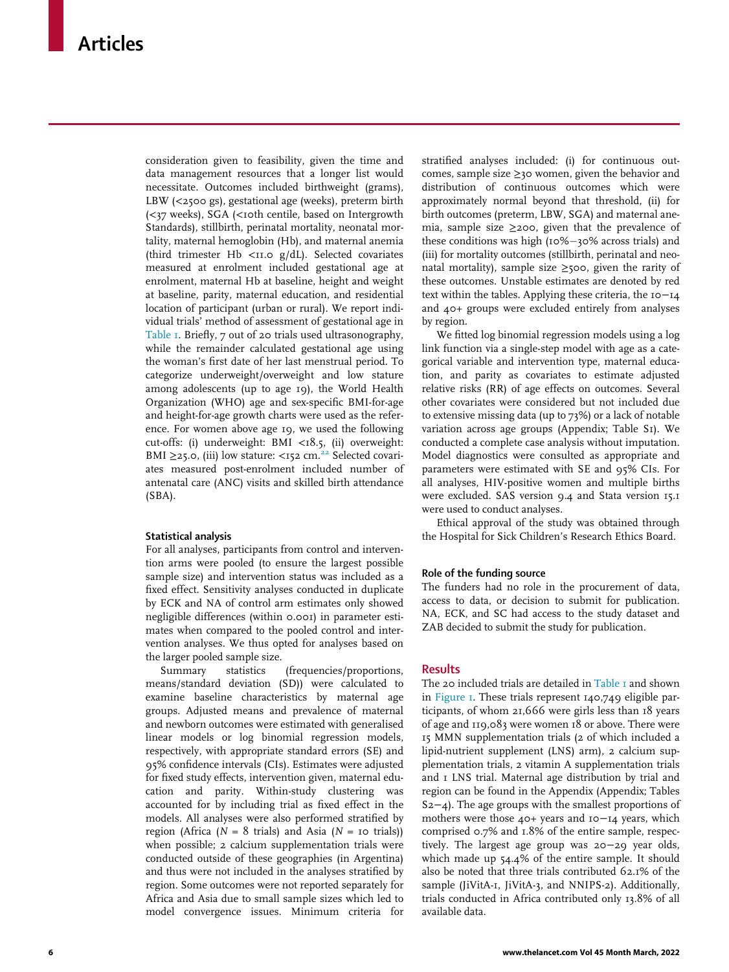consideration given to feasibility, given the time and data management resources that a longer list would necessitate. Outcomes included birthweight (grams), LBW (<2500 gs), gestational age (weeks), preterm birth (<37 weeks), SGA (<10th centile, based on Intergrowth Standards), stillbirth, perinatal mortality, neonatal mortality, maternal hemoglobin (Hb), and maternal anemia (third trimester Hb < $11.0$  g/dL). Selected covariates measured at enrolment included gestational age at enrolment, maternal Hb at baseline, height and weight at baseline, parity, maternal education, and residential location of participant (urban or rural). We report individual trials' method of assessment of gestational age in [Table 1.](#page-5-0) Briefly, 7 out of 20 trials used ultrasonography, while the remainder calculated gestational age using the woman's first date of her last menstrual period. To categorize underweight/overweight and low stature among adolescents (up to age 19), the World Health Organization (WHO) age and sex-specific BMI-for-age and height-for-age growth charts were used as the reference. For women above age 19, we used the following cut-offs: (i) underweight: BMI <18.5, (ii) overweight: BMI ≥25.0, (iii) low stature: <152 cm.<sup>22</sup> Selected covariates measured post-enrolment included number of antenatal care (ANC) visits and skilled birth attendance (SBA).

## Statistical analysis

For all analyses, participants from control and intervention arms were pooled (to ensure the largest possible sample size) and intervention status was included as a fixed effect. Sensitivity analyses conducted in duplicate by ECK and NA of control arm estimates only showed negligible differences (within 0.001) in parameter estimates when compared to the pooled control and intervention analyses. We thus opted for analyses based on the larger pooled sample size.

Summary statistics (frequencies/proportions, means/standard deviation (SD)) were calculated to examine baseline characteristics by maternal age groups. Adjusted means and prevalence of maternal and newborn outcomes were estimated with generalised linear models or log binomial regression models, respectively, with appropriate standard errors (SE) and 95% confidence intervals (CIs). Estimates were adjusted for fixed study effects, intervention given, maternal education and parity. Within-study clustering was accounted for by including trial as fixed effect in the models. All analyses were also performed stratified by region (Africa ( $N = 8$  trials) and Asia ( $N = 10$  trials)) when possible; 2 calcium supplementation trials were conducted outside of these geographies (in Argentina) and thus were not included in the analyses stratified by region. Some outcomes were not reported separately for Africa and Asia due to small sample sizes which led to model convergence issues. Minimum criteria for

stratified analyses included: (i) for continuous outcomes, sample size  $\geq$ 30 women, given the behavior and distribution of continuous outcomes which were approximately normal beyond that threshold, (ii) for birth outcomes (preterm, LBW, SGA) and maternal anemia, sample size ≥200, given that the prevalence of these conditions was high  $(10\%-30\%)$  across trials) and (iii) for mortality outcomes (stillbirth, perinatal and neonatal mortality), sample size  $\geq$ 500, given the rarity of these outcomes. Unstable estimates are denoted by red text within the tables. Applying these criteria, the 10−14 and 40+ groups were excluded entirely from analyses by region.

We fitted log binomial regression models using a log link function via a single-step model with age as a categorical variable and intervention type, maternal education, and parity as covariates to estimate adjusted relative risks (RR) of age effects on outcomes. Several other covariates were considered but not included due to extensive missing data (up to 73%) or a lack of notable variation across age groups (Appendix; Table S1). We conducted a complete case analysis without imputation. Model diagnostics were consulted as appropriate and parameters were estimated with SE and 95% CIs. For all analyses, HIV-positive women and multiple births were excluded. SAS version 9.4 and Stata version 15.1 were used to conduct analyses.

Ethical approval of the study was obtained through the Hospital for Sick Children's Research Ethics Board.

## Role of the funding source

The funders had no role in the procurement of data, access to data, or decision to submit for publication. NA, ECK, and SC had access to the study dataset and ZAB decided to submit the study for publication.

## **Results**

The 20 included trials are detailed in Table I and shown in [Figure 1](#page-8-0). These trials represent 140,749 eligible participants, of whom 21,666 were girls less than 18 years of age and 119,083 were women 18 or above. There were 15 MMN supplementation trials (2 of which included a lipid-nutrient supplement (LNS) arm), 2 calcium supplementation trials, 2 vitamin A supplementation trials and 1 LNS trial. Maternal age distribution by trial and region can be found in the Appendix (Appendix; Tables S2−4). The age groups with the smallest proportions of mothers were those 40+ years and 10−14 years, which comprised 0.7% and 1.8% of the entire sample, respectively. The largest age group was 20−29 year olds, which made up 54.4% of the entire sample. It should also be noted that three trials contributed 62.1% of the sample (JiVitA-1, JiVitA-3, and NNIPS-2). Additionally, trials conducted in Africa contributed only 13.8% of all available data.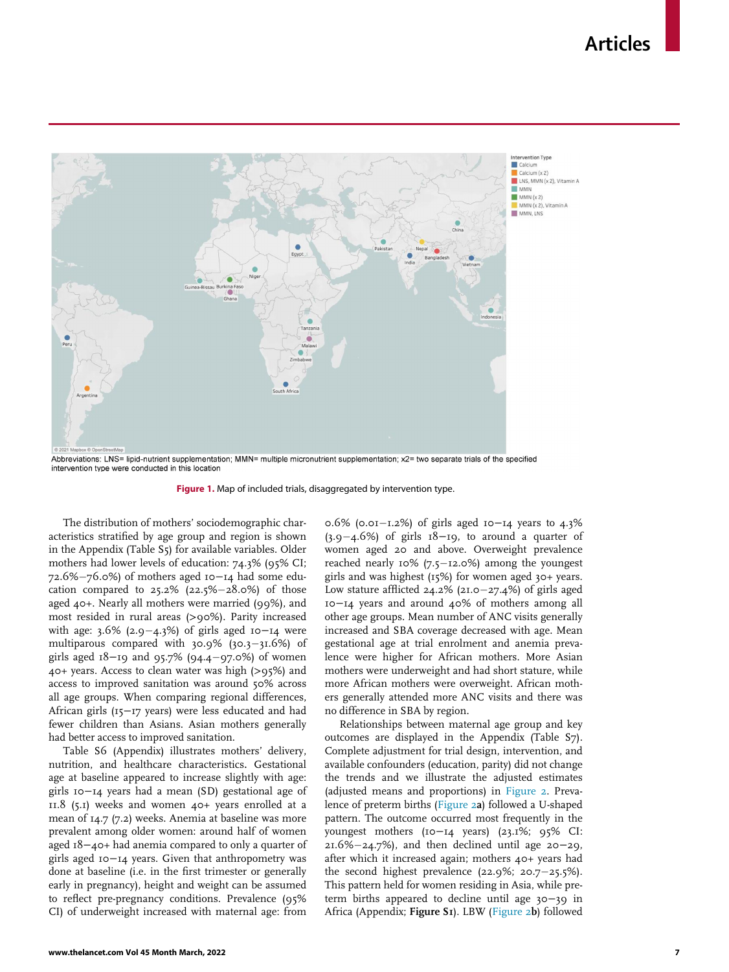<span id="page-8-0"></span>

Abbreviations: LNS= lipid-nutrient supplementation: MMN= multiple micronutrient supplementation: x2= two separate trials of the specified intervention type were conducted in this location

Figure 1. Map of included trials, disaggregated by intervention type.

The distribution of mothers' sociodemographic characteristics stratified by age group and region is shown in the Appendix (Table S5) for available variables. Older mothers had lower levels of education: 74.3% (95% CI; 72.6%-76.0%) of mothers aged 10-14 had some education compared to  $25.2\%$  ( $22.5\%$   $-28.0\%$ ) of those aged 40+. Nearly all mothers were married (99%), and most resided in rural areas (>90%). Parity increased with age:  $3.6\%$  (2.9–4.3%) of girls aged 10–14 were multiparous compared with  $30.9\%$  ( $30.3-31.6\%$ ) of girls aged 18−19 and 95.7% (94.497.0%) of women 40+ years. Access to clean water was high (>95%) and access to improved sanitation was around 50% across all age groups. When comparing regional differences, African girls (15−17 years) were less educated and had fewer children than Asians. Asian mothers generally had better access to improved sanitation.

Table S6 (Appendix) illustrates mothers' delivery, nutrition, and healthcare characteristics. Gestational age at baseline appeared to increase slightly with age: girls 10−14 years had a mean (SD) gestational age of 11.8 (5.1) weeks and women 40+ years enrolled at a mean of 14.7 (7.2) weeks. Anemia at baseline was more prevalent among older women: around half of women aged 18−40+ had anemia compared to only a quarter of girls aged 10−14 years. Given that anthropometry was done at baseline (i.e. in the first trimester or generally early in pregnancy), height and weight can be assumed to reflect pre-pregnancy conditions. Prevalence (95% CI) of underweight increased with maternal age: from

0.6% (0.01-1.2%) of girls aged 10-14 years to 4.3%  $(3.9-4.6%)$  of girls  $18-19$ , to around a quarter of women aged 20 and above. Overweight prevalence reached nearly  $10\%$  (7.5–12.0%) among the youngest girls and was highest (15%) for women aged 30+ years. Low stature afflicted  $24.2\%$  (21.0–27.4%) of girls aged 10−14 years and around 40% of mothers among all other age groups. Mean number of ANC visits generally increased and SBA coverage decreased with age. Mean gestational age at trial enrolment and anemia prevalence were higher for African mothers. More Asian mothers were underweight and had short stature, while more African mothers were overweight. African mothers generally attended more ANC visits and there was no difference in SBA by region.

Relationships between maternal age group and key outcomes are displayed in the Appendix (Table S7). Complete adjustment for trial design, intervention, and available confounders (education, parity) did not change the trends and we illustrate the adjusted estimates (adjusted means and proportions) in [Figure 2.](#page-9-0) Prevalence of preterm births ([Figure 2](#page-9-0)a) followed a U-shaped pattern. The outcome occurred most frequently in the youngest mothers (10−14 years) (23.1%; 95% CI:  $21.6\% - 24.7\%)$ , and then declined until age 20−29, after which it increased again; mothers 40+ years had the second highest prevalence  $(22.9\%; 20.7-25.5\%).$ This pattern held for women residing in Asia, while preterm births appeared to decline until age 30−39 in Africa (Appendix; Figure S1). LBW [\(Figure 2](#page-9-0)b) followed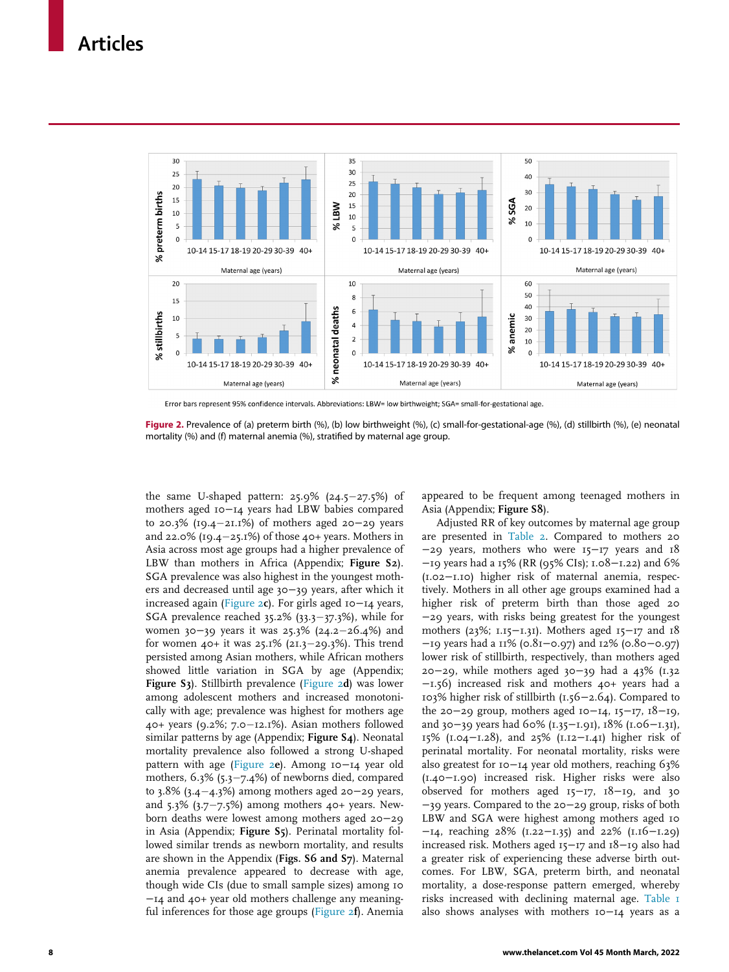<span id="page-9-0"></span>

Error bars represent 95% confidence intervals. Abbreviations: LBW= low birthweight; SGA= small-for-gestational age.

Figure 2. Prevalence of (a) preterm birth (%), (b) low birthweight (%), (c) small-for-gestational-age (%), (d) stillbirth (%), (e) neonatal mortality (%) and (f) maternal anemia (%), stratified by maternal age group.

the same U-shaped pattern:  $25.9\%$  ( $24.5-27.5\%$ ) of mothers aged 10−14 years had LBW babies compared to 20.3% (19.421.1%) of mothers aged 20−29 years and 22.0% (19.4 $-25.1%$ ) of those 40+ years. Mothers in Asia across most age groups had a higher prevalence of LBW than mothers in Africa (Appendix; Figure S2). SGA prevalence was also highest in the youngest mothers and decreased until age 30−39 years, after which it increased again [\(Figure 2](#page-9-0)c). For girls aged 10−14 years, SGA prevalence reached  $35.2\%$  ( $33.3-37.3\%$ ), while for women 30−39 years it was 25.3% (24.2–26.4%) and for women  $40+$  it was  $25.1\%$  ( $21.3-29.3\%$ ). This trend persisted among Asian mothers, while African mothers showed little variation in SGA by age (Appendix; Figure S3). Stillbirth prevalence ([Figure 2](#page-9-0)d) was lower among adolescent mothers and increased monotonically with age; prevalence was highest for mothers age  $40+$  years (9.2%; 7.0 $-12.1%$ ). Asian mothers followed similar patterns by age (Appendix; Figure S4). Neonatal mortality prevalence also followed a strong U-shaped pattern with age ([Figure 2](#page-9-0)e). Among 10−14 year old mothers,  $6.3\%$  (5.3-7.4%) of newborns died, compared to 3.8% (3.4-4.3%) among mothers aged 20-29 years, and  $5.3\%$  ( $3.7-7.5\%$ ) among mothers  $40+$  years. Newborn deaths were lowest among mothers aged 20−29 in Asia (Appendix; Figure S5). Perinatal mortality followed similar trends as newborn mortality, and results are shown in the Appendix (Figs. S6 and S7). Maternal anemia prevalence appeared to decrease with age, though wide CIs (due to small sample sizes) among 10 −14 and 40+ year old mothers challenge any meaningful inferences for those age groups [\(Figure 2](#page-9-0)f). Anemia

appeared to be frequent among teenaged mothers in Asia (Appendix; Figure S8).

Adjusted RR of key outcomes by maternal age group are presented in [Table 2.](#page-10-0) Compared to mothers 20 −29 years, mothers who were 15−17 years and 18 −19 years had a 15% (RR (95% CIs); 1.08−1.22) and 6% (1.02−1.10) higher risk of maternal anemia, respectively. Mothers in all other age groups examined had a higher risk of preterm birth than those aged 20 −29 years, with risks being greatest for the youngest mothers (23%; 1.15−1.31). Mothers aged 15−17 and 18 −19 years had a 11% (0.81−0.97) and 12% (0.80−0.97) lower risk of stillbirth, respectively, than mothers aged 20−29, while mothers aged 30−39 had a 43% (1.32 −1.56) increased risk and mothers 40+ years had a 103% higher risk of stillbirth (1.56−2.64). Compared to the 20−29 group, mothers aged 10−14, 15−17, 18−19, and 30−39 years had 60% (1.35−1.91), 18% (1.06−1.31), 15% (1.04−1.28), and 25% (1.12−1.41) higher risk of perinatal mortality. For neonatal mortality, risks were also greatest for 10−14 year old mothers, reaching 63% (1.40−1.90) increased risk. Higher risks were also observed for mothers aged 15−17, 18−19, and 30 −39 years. Compared to the 20−29 group, risks of both LBW and SGA were highest among mothers aged 10 −14, reaching 28% (1.22−1.35) and 22% (1.16−1.29) increased risk. Mothers aged 15−17 and 18−19 also had a greater risk of experiencing these adverse birth outcomes. For LBW, SGA, preterm birth, and neonatal mortality, a dose-response pattern emerged, whereby risks increased with declining maternal age. [Table 1](#page-5-0) also shows analyses with mothers 10−14 years as a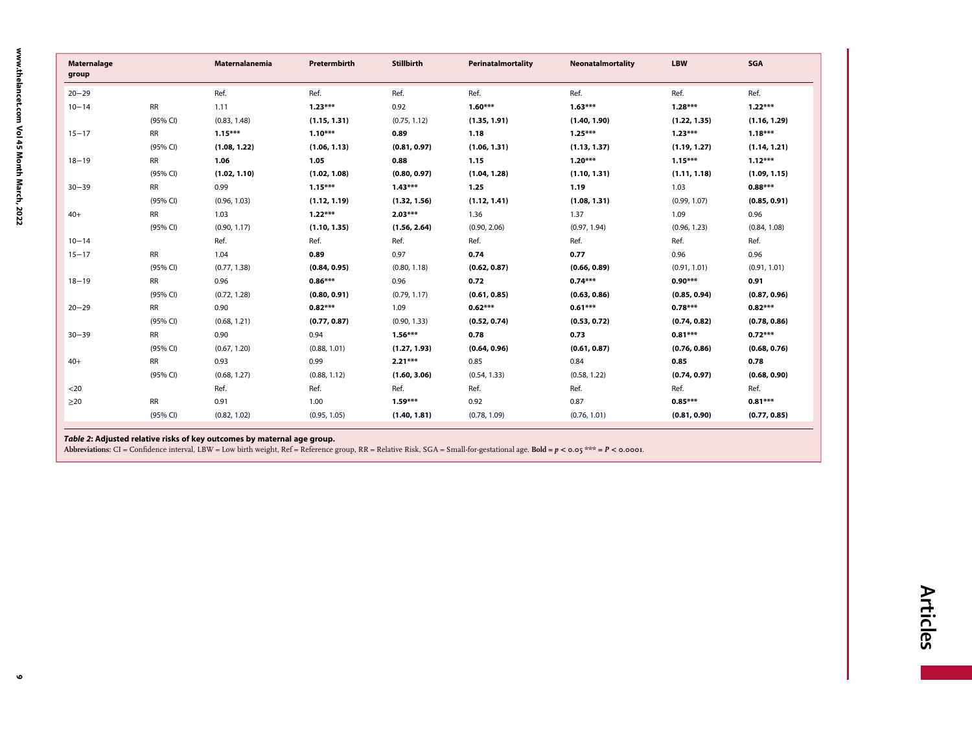<span id="page-10-0"></span>

| <b>Maternalage</b><br>group |           | <b>Maternalanemia</b> | Pretermbirth | <b>Stillbirth</b> | Perinatalmortality | <b>Neonatalmortality</b> | <b>LBW</b>   | SGA          |
|-----------------------------|-----------|-----------------------|--------------|-------------------|--------------------|--------------------------|--------------|--------------|
| $20 - 29$                   |           | Ref.                  | Ref.         | Ref.              | Ref.               | Ref.                     | Ref.         | Ref.         |
| $10 - 14$                   | <b>RR</b> | 1.11                  | $1.23***$    | 0.92              | $1.60***$          | $1.63***$                | $1.28***$    | $1.22***$    |
|                             | (95% CI)  | (0.83, 1.48)          | (1.15, 1.31) | (0.75, 1.12)      | (1.35, 1.91)       | (1.40, 1.90)             | (1.22, 1.35) | (1.16, 1.29) |
| $15 - 17$                   | <b>RR</b> | $1.15***$             | $1.10***$    | 0.89              | 1.18               | $1.25***$                | $1.23***$    | $1.18***$    |
|                             | (95% CI)  | (1.08, 1.22)          | (1.06, 1.13) | (0.81, 0.97)      | (1.06, 1.31)       | (1.13, 1.37)             | (1.19, 1.27) | (1.14, 1.21) |
| $18 - 19$                   | <b>RR</b> | 1.06                  | 1.05         | 0.88              | 1.15               | $1.20***$                | $1.15***$    | $1.12***$    |
|                             | (95% CI)  | (1.02, 1.10)          | (1.02, 1.08) | (0.80, 0.97)      | (1.04, 1.28)       | (1.10, 1.31)             | (1.11, 1.18) | (1.09, 1.15) |
| $30 - 39$                   | <b>RR</b> | 0.99                  | $1.15***$    | $1.43***$         | 1.25               | 1.19                     | 1.03         | $0.88***$    |
|                             | (95% CI)  | (0.96, 1.03)          | (1.12, 1.19) | (1.32, 1.56)      | (1.12, 1.41)       | (1.08, 1.31)             | (0.99, 1.07) | (0.85, 0.91) |
| $40+$                       | <b>RR</b> | 1.03                  | $1.22***$    | $2.03***$         | 1.36               | 1.37                     | 1.09         | 0.96         |
|                             | (95% CI)  | (0.90, 1.17)          | (1.10, 1.35) | (1.56, 2.64)      | (0.90, 2.06)       | (0.97, 1.94)             | (0.96, 1.23) | (0.84, 1.08) |
| $10 - 14$                   |           | Ref.                  | Ref.         | Ref.              | Ref.               | Ref.                     | Ref.         | Ref.         |
| $15 - 17$                   | <b>RR</b> | 1.04                  | 0.89         | 0.97              | 0.74               | 0.77                     | 0.96         | 0.96         |
|                             | (95% CI)  | (0.77, 1.38)          | (0.84, 0.95) | (0.80, 1.18)      | (0.62, 0.87)       | (0.66, 0.89)             | (0.91, 1.01) | (0.91, 1.01) |
| $18 - 19$                   | <b>RR</b> | 0.96                  | $0.86***$    | 0.96              | 0.72               | $0.74***$                | $0.90***$    | 0.91         |
|                             | (95% CI)  | (0.72, 1.28)          | (0.80, 0.91) | (0.79, 1.17)      | (0.61, 0.85)       | (0.63, 0.86)             | (0.85, 0.94) | (0.87, 0.96) |
| $20 - 29$                   | <b>RR</b> | 0.90                  | $0.82***$    | 1.09              | $0.62***$          | $0.61***$                | $0.78***$    | $0.82***$    |
|                             | (95% CI)  | (0.68, 1.21)          | (0.77, 0.87) | (0.90, 1.33)      | (0.52, 0.74)       | (0.53, 0.72)             | (0.74, 0.82) | (0.78, 0.86) |
| $30 - 39$                   | <b>RR</b> | 0.90                  | 0.94         | $1.56***$         | 0.78               | 0.73                     | $0.81***$    | $0.72***$    |
|                             | (95% CI)  | (0.67, 1.20)          | (0.88, 1.01) | (1.27, 1.93)      | (0.64, 0.96)       | (0.61, 0.87)             | (0.76, 0.86) | (0.68, 0.76) |
| $40+$                       | <b>RR</b> | 0.93                  | 0.99         | $2.21***$         | 0.85               | 0.84                     | 0.85         | 0.78         |
|                             | (95% CI)  | (0.68, 1.27)          | (0.88, 1.12) | (1.60, 3.06)      | (0.54, 1.33)       | (0.58, 1.22)             | (0.74, 0.97) | (0.68, 0.90) |
| $<$ 20                      |           | Ref.                  | Ref.         | Ref.              | Ref.               | Ref.                     | Ref.         | Ref.         |
| $\geq$ 20                   | <b>RR</b> | 0.91                  | 1.00         | $1.59***$         | 0.92               | 0.87                     | $0.85***$    | $0.81***$    |
|                             | (95% CI)  | (0.82, 1.02)          | (0.95, 1.05) | (1.40, 1.81)      | (0.78, 1.09)       | (0.76, 1.01)             | (0.81, 0.90) | (0.77, 0.85) |

**Table 2: Adjusted relative risks of key outcomes by maternal age group.**<br>Abbreviations: CI = Confidence interval, LBW = Low birth weight, Ref = Reference group, RR = Relative Risk, SGA = Small-for-gestational age. **Bold =** 

 $\bullet$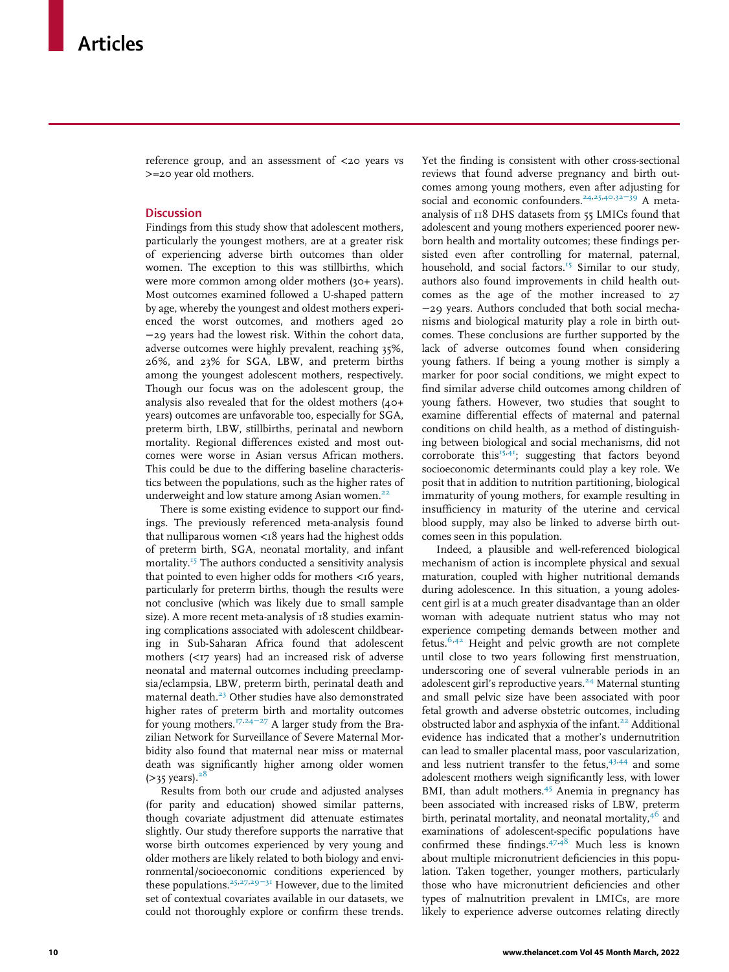reference group, and an assessment of <20 years vs >=20 year old mothers.

## **Discussion**

Findings from this study show that adolescent mothers, particularly the youngest mothers, are at a greater risk of experiencing adverse birth outcomes than older women. The exception to this was stillbirths, which were more common among older mothers (30+ years). Most outcomes examined followed a U-shaped pattern by age, whereby the youngest and oldest mothers experienced the worst outcomes, and mothers aged 20 −29 years had the lowest risk. Within the cohort data, adverse outcomes were highly prevalent, reaching 35%, 26%, and 23% for SGA, LBW, and preterm births among the youngest adolescent mothers, respectively. Though our focus was on the adolescent group, the analysis also revealed that for the oldest mothers (40+ years) outcomes are unfavorable too, especially for SGA, preterm birth, LBW, stillbirths, perinatal and newborn mortality. Regional differences existed and most outcomes were worse in Asian versus African mothers. This could be due to the differing baseline characteristics between the populations, such as the higher rates of underweight and low stature among Asian women.<sup>[22](#page-14-13)</sup>

There is some existing evidence to support our findings. The previously referenced meta-analysis found that nulliparous women <18 years had the highest odds of preterm birth, SGA, neonatal mortality, and infant mortality.[15](#page-14-6) The authors conducted a sensitivity analysis that pointed to even higher odds for mothers  $\lt 16$  years, particularly for preterm births, though the results were not conclusive (which was likely due to small sample size). A more recent meta-analysis of 18 studies examining complications associated with adolescent childbearing in Sub-Saharan Africa found that adolescent mothers  $\left\langle \langle 17 \rangle$  years) had an increased risk of adverse neonatal and maternal outcomes including preeclampsia/eclampsia, LBW, preterm birth, perinatal death and maternal death.<sup>[23](#page-14-14)</sup> Other studies have also demonstrated higher rates of preterm birth and mortality outcomes for young mothers.<sup>[17](#page-14-8),[24](#page-14-15)-27</sup> A larger study from the Brazilian Network for Surveillance of Severe Maternal Morbidity also found that maternal near miss or maternal death was significantly higher among older women  $(>35$  years).<sup>2</sup>

Results from both our crude and adjusted analyses (for parity and education) showed similar patterns, though covariate adjustment did attenuate estimates slightly. Our study therefore supports the narrative that worse birth outcomes experienced by very young and older mothers are likely related to both biology and environmental/socioeconomic conditions experienced by these populations.<sup>[25](#page-14-17),[27](#page-14-18)[,29](#page-14-3)−31</sup> However, due to the limited set of contextual covariates available in our datasets, we could not thoroughly explore or confirm these trends.

Yet the finding is consistent with other cross-sectional reviews that found adverse pregnancy and birth outcomes among young mothers, even after adjusting for social and economic confounders.<sup>[24,](#page-14-15)[25](#page-14-17)[,40](#page-14-19),32−[39](#page-14-20)</sup> A metaanalysis of 118 DHS datasets from 55 LMICs found that adolescent and young mothers experienced poorer newborn health and mortality outcomes; these findings persisted even after controlling for maternal, paternal, household, and social factors.<sup>[15](#page-14-6)</sup> Similar to our study, authors also found improvements in child health outcomes as the age of the mother increased to 27 −29 years. Authors concluded that both social mechanisms and biological maturity play a role in birth outcomes. These conclusions are further supported by the lack of adverse outcomes found when considering young fathers. If being a young mother is simply a marker for poor social conditions, we might expect to find similar adverse child outcomes among children of young fathers. However, two studies that sought to examine differential effects of maternal and paternal conditions on child health, as a method of distinguishing between biological and social mechanisms, did not corroborate this<sup>[15](#page-14-6)[,41](#page-14-21)</sup>; suggesting that factors beyond socioeconomic determinants could play a key role. We posit that in addition to nutrition partitioning, biological immaturity of young mothers, for example resulting in insufficiency in maturity of the uterine and cervical blood supply, may also be linked to adverse birth outcomes seen in this population.

Indeed, a plausible and well-referenced biological mechanism of action is incomplete physical and sexual maturation, coupled with higher nutritional demands during adolescence. In this situation, a young adolescent girl is at a much greater disadvantage than an older woman with adequate nutrient status who may not experience competing demands between mother and fetus. $6,42$  $6,42$  Height and pelvic growth are not complete until close to two years following first menstruation, underscoring one of several vulnerable periods in an adolescent girl's reproductive years.<sup>[24](#page-14-15)</sup> Maternal stunting and small pelvic size have been associated with poor fetal growth and adverse obstetric outcomes, including obstructed labor and asphyxia of the infant.<sup>[22](#page-14-13)</sup> Additional evidence has indicated that a mother's undernutrition can lead to smaller placental mass, poor vascularization, and less nutrient transfer to the fetus, [43](#page-14-14),[44](#page-14-23) and some adolescent mothers weigh significantly less, with lower BMI, than adult mothers.<sup>[45](#page-14-24)</sup> Anemia in pregnancy has been associated with increased risks of LBW, preterm birth, perinatal mortality, and neonatal mortality, $4^6$  and examinations of adolescent-specific populations have confirmed these findings. $47.48$  $47.48$  Much less is known about multiple micronutrient deficiencies in this population. Taken together, younger mothers, particularly those who have micronutrient deficiencies and other types of malnutrition prevalent in LMICs, are more likely to experience adverse outcomes relating directly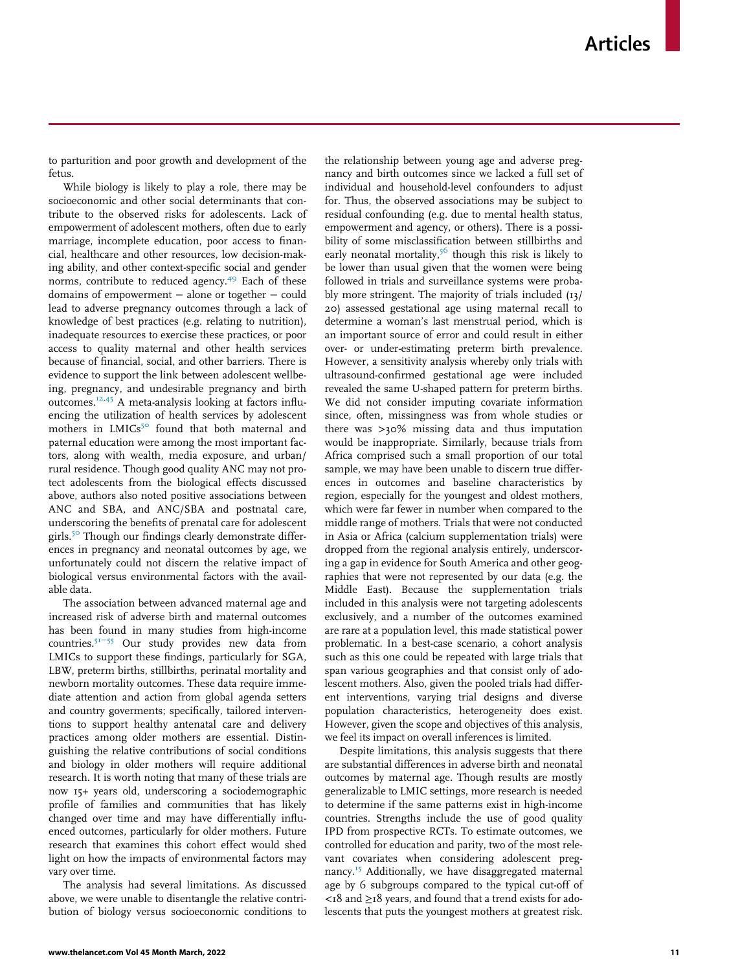to parturition and poor growth and development of the fetus.

While biology is likely to play a role, there may be socioeconomic and other social determinants that contribute to the observed risks for adolescents. Lack of empowerment of adolescent mothers, often due to early marriage, incomplete education, poor access to financial, healthcare and other resources, low decision-making ability, and other context-specific social and gender norms, contribute to reduced agency.<sup>[49](#page-15-3)</sup> Each of these domains of empowerment − alone or together − could lead to adverse pregnancy outcomes through a lack of knowledge of best practices (e.g. relating to nutrition), inadequate resources to exercise these practices, or poor access to quality maternal and other health services because of financial, social, and other barriers. There is evidence to support the link between adolescent wellbeing, pregnancy, and undesirable pregnancy and birth outcomes.[12,](#page-14-25)[45](#page-14-24) A meta-analysis looking at factors influencing the utilization of health services by adolescent mothers in LMICs<sup>[50](#page-15-4)</sup> found that both maternal and paternal education were among the most important factors, along with wealth, media exposure, and urban/ rural residence. Though good quality ANC may not protect adolescents from the biological effects discussed above, authors also noted positive associations between ANC and SBA, and ANC/SBA and postnatal care, underscoring the benefits of prenatal care for adolescent girls.<sup>[50](#page-15-4)</sup> Though our findings clearly demonstrate differences in pregnancy and neonatal outcomes by age, we unfortunately could not discern the relative impact of biological versus environmental factors with the available data.

The association between advanced maternal age and increased risk of adverse birth and maternal outcomes has been found in many studies from high-income countries.51−[55](#page-15-5) Our study provides new data from LMICs to support these findings, particularly for SGA, LBW, preterm births, stillbirths, perinatal mortality and newborn mortality outcomes. These data require immediate attention and action from global agenda setters and country goverments; specifically, tailored interventions to support healthy antenatal care and delivery practices among older mothers are essential. Distinguishing the relative contributions of social conditions and biology in older mothers will require additional research. It is worth noting that many of these trials are now 15+ years old, underscoring a sociodemographic profile of families and communities that has likely changed over time and may have differentially influenced outcomes, particularly for older mothers. Future research that examines this cohort effect would shed light on how the impacts of environmental factors may vary over time.

The analysis had several limitations. As discussed above, we were unable to disentangle the relative contribution of biology versus socioeconomic conditions to the relationship between young age and adverse pregnancy and birth outcomes since we lacked a full set of individual and household-level confounders to adjust for. Thus, the observed associations may be subject to residual confounding (e.g. due to mental health status, empowerment and agency, or others). There is a possibility of some misclassification between stillbirths and early neonatal mortality,<sup>[56](#page-15-6)</sup> though this risk is likely to be lower than usual given that the women were being followed in trials and surveillance systems were probably more stringent. The majority of trials included (13/ 20) assessed gestational age using maternal recall to determine a woman's last menstrual period, which is an important source of error and could result in either over- or under-estimating preterm birth prevalence. However, a sensitivity analysis whereby only trials with ultrasound-confirmed gestational age were included revealed the same U-shaped pattern for preterm births. We did not consider imputing covariate information since, often, missingness was from whole studies or there was >30% missing data and thus imputation would be inappropriate. Similarly, because trials from Africa comprised such a small proportion of our total sample, we may have been unable to discern true differences in outcomes and baseline characteristics by region, especially for the youngest and oldest mothers, which were far fewer in number when compared to the middle range of mothers. Trials that were not conducted in Asia or Africa (calcium supplementation trials) were dropped from the regional analysis entirely, underscoring a gap in evidence for South America and other geographies that were not represented by our data (e.g. the Middle East). Because the supplementation trials included in this analysis were not targeting adolescents exclusively, and a number of the outcomes examined are rare at a population level, this made statistical power problematic. In a best-case scenario, a cohort analysis such as this one could be repeated with large trials that span various geographies and that consist only of adolescent mothers. Also, given the pooled trials had different interventions, varying trial designs and diverse population characteristics, heterogeneity does exist. However, given the scope and objectives of this analysis, we feel its impact on overall inferences is limited.

Despite limitations, this analysis suggests that there are substantial differences in adverse birth and neonatal outcomes by maternal age. Though results are mostly generalizable to LMIC settings, more research is needed to determine if the same patterns exist in high-income countries. Strengths include the use of good quality IPD from prospective RCTs. To estimate outcomes, we controlled for education and parity, two of the most relevant covariates when considering adolescent preg-nancy.<sup>[15](#page-14-6)</sup> Additionally, we have disaggregated maternal age by 6 subgroups compared to the typical cut-off of <18 and ≥18 years, and found that a trend exists for adolescents that puts the youngest mothers at greatest risk.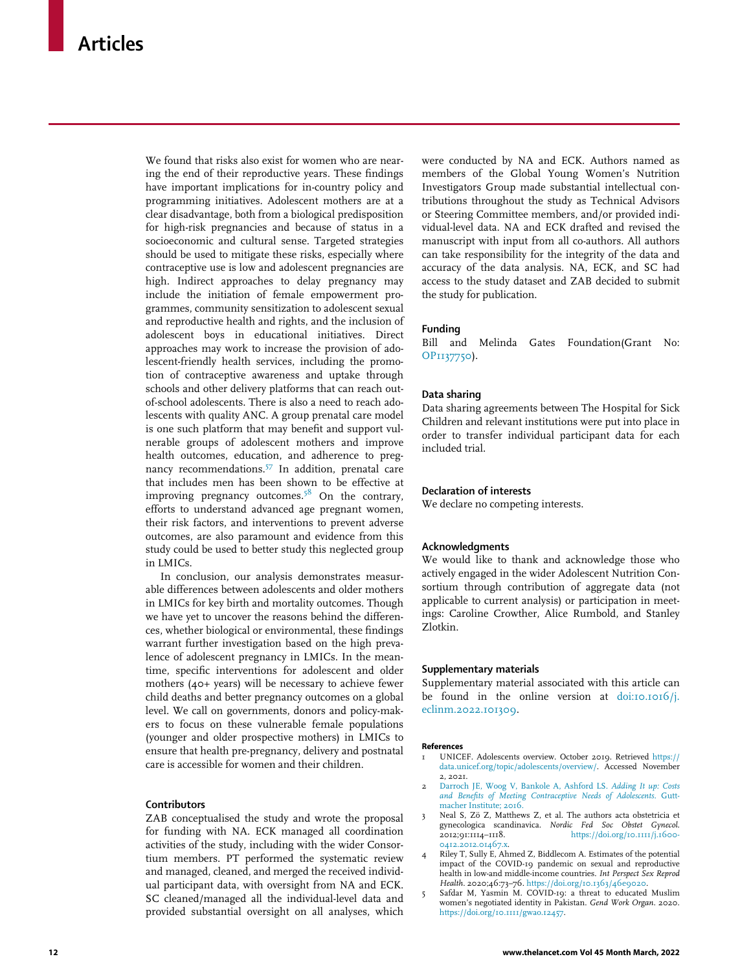<span id="page-13-5"></span>We found that risks also exist for women who are nearing the end of their reproductive years. These findings have important implications for in-country policy and programming initiatives. Adolescent mothers are at a clear disadvantage, both from a biological predisposition for high-risk pregnancies and because of status in a socioeconomic and cultural sense. Targeted strategies should be used to mitigate these risks, especially where contraceptive use is low and adolescent pregnancies are high. Indirect approaches to delay pregnancy may include the initiation of female empowerment programmes, community sensitization to adolescent sexual and reproductive health and rights, and the inclusion of adolescent boys in educational initiatives. Direct approaches may work to increase the provision of adolescent-friendly health services, including the promotion of contraceptive awareness and uptake through schools and other delivery platforms that can reach outof-school adolescents. There is also a need to reach adolescents with quality ANC. A group prenatal care model is one such platform that may benefit and support vulnerable groups of adolescent mothers and improve health outcomes, education, and adherence to pregnancy recommendations.[57](#page-15-7) In addition, prenatal care that includes men has been shown to be effective at improving pregnancy outcomes.<sup>[58](#page-15-8)</sup> On the contrary, efforts to understand advanced age pregnant women, their risk factors, and interventions to prevent adverse outcomes, are also paramount and evidence from this study could be used to better study this neglected group in LMICs.

In conclusion, our analysis demonstrates measurable differences between adolescents and older mothers in LMICs for key birth and mortality outcomes. Though we have yet to uncover the reasons behind the differences, whether biological or environmental, these findings warrant further investigation based on the high prevalence of adolescent pregnancy in LMICs. In the meantime, specific interventions for adolescent and older mothers (40+ years) will be necessary to achieve fewer child deaths and better pregnancy outcomes on a global level. We call on governments, donors and policy-makers to focus on these vulnerable female populations (younger and older prospective mothers) in LMICs to ensure that health pre-pregnancy, delivery and postnatal care is accessible for women and their children.

## <span id="page-13-1"></span><span id="page-13-0"></span>**Contributors**

<span id="page-13-4"></span><span id="page-13-3"></span><span id="page-13-2"></span>ZAB conceptualised the study and wrote the proposal for funding with NA. ECK managed all coordination activities of the study, including with the wider Consortium members. PT performed the systematic review and managed, cleaned, and merged the received individual participant data, with oversight from NA and ECK. SC cleaned/managed all the individual-level data and provided substantial oversight on all analyses, which

were conducted by NA and ECK. Authors named as members of the Global Young Women's Nutrition Investigators Group made substantial intellectual contributions throughout the study as Technical Advisors or Steering Committee members, and/or provided individual-level data. NA and ECK drafted and revised the manuscript with input from all co-authors. All authors can take responsibility for the integrity of the data and accuracy of the data analysis. NA, ECK, and SC had access to the study dataset and ZAB decided to submit the study for publication.

## Funding

Bill and Melinda Gates Foundation(Grant No: [OP1137750\)](#page-13-5).

## Data sharing

Data sharing agreements between The Hospital for Sick Children and relevant institutions were put into place in order to transfer individual participant data for each included trial.

## Declaration of interests

We declare no competing interests.

## Acknowledgments

We would like to thank and acknowledge those who actively engaged in the wider Adolescent Nutrition Consortium through contribution of aggregate data (not applicable to current analysis) or participation in meetings: Caroline Crowther, Alice Rumbold, and Stanley Zlotkin.

## Supplementary materials

Supplementary material associated with this article can be found in the online version at [doi:10.1016/j.](https://doi.org/10.1016/j.eclinm.2022.101309) [eclinm.2022.101309](https://doi.org/10.1016/j.eclinm.2022.101309).

#### References

- 1 UNICEF. Adolescents overview. October 2019. Retrieved [https://](https://data.unicef.org/topic/adolescents/overview/) [data.unicef.org/topic/adolescents/overview/.](https://data.unicef.org/topic/adolescents/overview/) Accessed November 2, 2021.
- 2 [Darroch JE, Woog V, Bankole A, Ashford LS.](http://refhub.elsevier.com/S2589-5370(22)00039-6/sbref0002) Adding It up: Costs [and Benefits of Meeting Contraceptive Needs of Adolescents](http://refhub.elsevier.com/S2589-5370(22)00039-6/sbref0002). Gutt[macher Institute; 2016.](http://refhub.elsevier.com/S2589-5370(22)00039-6/sbref0002)
- 3 Neal S, Zö Z, Matthews Z, et al. The authors acta obstetricia et gynecologica scandinavica. Nordic Fed Soc Obstet Gynecol. 2012;91:1114–1118. [https://doi.org/10.1111/j.1600-](https://doi.org/10.1111/j.1600-0412.2012.01467.x) [0412.2012.01467.x.](https://doi.org/10.1111/j.1600-0412.2012.01467.x)
- 4 Riley T, Sully E, Ahmed Z, Biddlecom A. Estimates of the potential impact of the COVID-19 pandemic on sexual and reproductive health in low-and middle-income countries. Int Perspect Sex Reprod Health. 2020;46:73-76. <https://doi.org/10.1363/46e9020>
- 5 Safdar M, Yasmin M. COVID-19: a threat to educated Muslim women's negotiated identity in Pakistan. Gend Work Organ. 2020. [https://doi.org/10.1111/gwao.12457.](https://doi.org/10.1111/gwao.12457)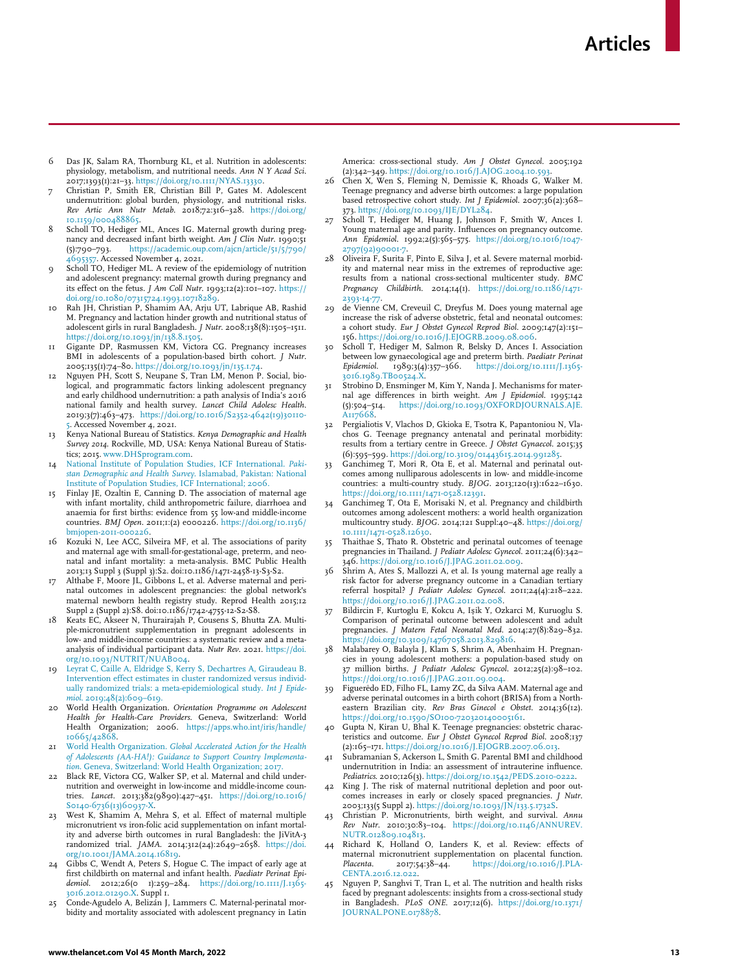- <span id="page-14-0"></span>6 Das JK, Salam RA, Thornburg KL, et al. Nutrition in adolescents: physiology, metabolism, and nutritional needs. Ann N Y Acad Sci. 2017;1393(1):21–33. <https://doi.org/10.1111/NYAS.13330>.
- <span id="page-14-1"></span>7 Christian P, Smith ER, Christian Bill P, Gates M. Adolescent undernutrition: global burden, physiology, and nutritional risks. Rev Artic Ann Nutr Metab. 2018;72:316–328. [https://doi.org/](https://doi.org/10.1159/000488865) [10.1159/000488865.](https://doi.org/10.1159/000488865)
- <span id="page-14-18"></span><span id="page-14-2"></span>8 Scholl TO, Hediger ML, Ances IG. Maternal growth during pregnancy and decreased infant birth weight. Am  $\bar{J}$  Clin Nutr. 1990;51 (5):790–793. [https://academic.oup.com/ajcn/article/51/5/790/](https://academic.oup.com/ajcn/article/51/5/790/4695357) [4695357.](https://academic.oup.com/ajcn/article/51/5/790/4695357) Accessed November 4, 2021.
- <span id="page-14-16"></span>Scholl TO, Hediger ML. A review of the epidemiology of nutrition and adolescent pregnancy: maternal growth during pregnancy and its effect on the fetus. *J Am Coll Nutr.* 1993;12(2):101–107. [https://](https://doi.org/10.1080/07315724.1993.10718289) [doi.org/10.1080/07315724.1993.10718289.](https://doi.org/10.1080/07315724.1993.10718289)
- <span id="page-14-3"></span>Rah JH, Christian P, Shamim AA, Arju UT, Labrique AB, Rashid M. Pregnancy and lactation hinder growth and nutritional status of adolescent girls in rural Bangladesh. J Nutr. 2008;138(8):1505–1511. [https://doi.org/10.1093/jn/138.8.1505.](https://doi.org/10.1093/jn/138.8.1505)
- Gigante DP, Rasmussen KM, Victora CG. Pregnancy increases BMI in adolescents of a population-based birth cohort. *J Nutr*. 2005;135(1):74–80. [https://doi.org/10.1093/jn/135.1.74.](https://doi.org/10.1093/jn/135.1.74)
- <span id="page-14-25"></span>12 Nguyen PH, Scott S, Neupane S, Tran LM, Menon P. Social, biological, and programmatic factors linking adolescent pregnancy and early childhood undernutrition: a path analysis of India's 2016 national family and health survey. Lancet Child Adolesc Health. 2019;3(7):463–473. [https://doi.org/10.1016/S2352-4642\(19\)30110-](https://doi.org/10.1016/S2352-4642(19)30110-5) [5](https://doi.org/10.1016/S2352-4642(19)30110-5). Accessed November 4, 2021.
- <span id="page-14-20"></span><span id="page-14-4"></span>13 Kenya National Bureau of Statistics. Kenya Demographic and Health Survey 2014. Rockville, MD, USA: Kenya National Bureau of Statistics; 2015. [www.DHSprogram.com.](http://www.DHSprogram.com)
- <span id="page-14-5"></span>14 [National Institute of Population Studies, ICF International.](http://refhub.elsevier.com/S2589-5370(22)00039-6/sbref0014) Paki[stan Demographic and Health Survey](http://refhub.elsevier.com/S2589-5370(22)00039-6/sbref0014). Islamabad, Pakistan: National [Institute of Population Studies, ICF International; 2006.](http://refhub.elsevier.com/S2589-5370(22)00039-6/sbref0014)
- <span id="page-14-6"></span>15 Finlay JE, Ozaltin E, Canning D. The association of maternal age with infant mortality, child anthropometric failure, diarrhoea and anaemia for first births: evidence from 55 low-and middle-income<br>countries. BMJ Open. 2011;1:(2) e000226. [https://doi.org/10.1136/](https://doi.org/10.1136/bmjopen-2011-000226) [bmjopen-2011-000226.](https://doi.org/10.1136/bmjopen-2011-000226)
- <span id="page-14-7"></span>16 Kozuki N, Lee ACC, Silveira MF, et al. The associations of parity and maternal age with small-for-gestational-age, preterm, and neonatal and infant mortality: a meta-analysis. BMC Public Health 2013;13 Suppl 3 (Suppl 3):S2. doi:10.1186/1471-2458-13-S3-S2.
- <span id="page-14-8"></span>Althabe F, Moore JL, Gibbons L, et al. Adverse maternal and perinatal outcomes in adolescent pregnancies: the global network's maternal newborn health registry study. Reprod Health 2015;12 Suppl 2 (Suppl 2):S8. doi:10.1186/1742-4755-12-S2-S8.
- <span id="page-14-9"></span>18 Keats EC, Akseer N, Thurairajah P, Cousens S, Bhutta ZA. Multiple-micronutrient supplementation in pregnant adolescents in low- and middle-income countries: a systematic review and a metaanalysis of individual participant data. *Nutr Rev.* 2021. [https://doi.](https://doi.org/10.1093/NUTRIT/NUAB004)<br>[org/10.1093/NUTRIT/NUAB004](https://doi.org/10.1093/NUTRIT/NUAB004).
- <span id="page-14-10"></span>19 [Leyrat C, Caille A, Eldridge S, Kerry S, Dechartres A, Giraudeau B.](http://refhub.elsevier.com/S2589-5370(22)00039-6/sbref0019) [Intervention effect estimates in cluster randomized versus individ](http://refhub.elsevier.com/S2589-5370(22)00039-6/sbref0019)[ually randomized trials: a meta-epidemiological study.](http://refhub.elsevier.com/S2589-5370(22)00039-6/sbref0019) Int J Epidemiol[. 2019;48\(2\):609–619.](http://refhub.elsevier.com/S2589-5370(22)00039-6/sbref0019)
- <span id="page-14-19"></span><span id="page-14-11"></span>20 World Health Organization. Orientation Programme on Adolescent Health for Health-Care Providers. Geneva, Switzerland: World Health Organization; 2006. [https://apps.who.int/iris/handle/](https://apps.who.int/iris/handle/10665/42868) [10665/42868.](https://apps.who.int/iris/handle/10665/42868)
- <span id="page-14-21"></span><span id="page-14-12"></span>World Health Organization. [Global Accelerated Action for the Health](http://refhub.elsevier.com/S2589-5370(22)00039-6/sbref0021) [of Adolescents \(AA-HA!\): Guidance to Support Country Implementa](http://refhub.elsevier.com/S2589-5370(22)00039-6/sbref0021)tion[. Geneva, Switzerland: World Health Organization; 2017.](http://refhub.elsevier.com/S2589-5370(22)00039-6/sbref0021)
- <span id="page-14-22"></span><span id="page-14-13"></span>22 Black RE, Victora CG, Walker SP, et al. Maternal and child undernutrition and overweight in low-income and middle-income countries. Lancet. 2013;382(9890):427–451. [https://doi.org/10.1016/](https://doi.org/10.1016/S0140-6736(13)60937-X) S0140-6736(13)60937-X
- <span id="page-14-14"></span>West K, Shamim A, Mehra S, et al. Effect of maternal multiple micronutrient vs iron-folic acid supplementation on infant mortality and adverse birth outcomes in rural Bangladesh: the JiVitA-3 randomized trial. JAMA. 2014;312(24):2649–2658. [https://doi.](https://doi.org/10.1001/JAMA.2014.16819) [org/10.1001/JAMA.2014.16819.](https://doi.org/10.1001/JAMA.2014.16819)
- <span id="page-14-24"></span><span id="page-14-23"></span><span id="page-14-15"></span>Gibbs C, Wendt A, Peters S, Hogue C. The impact of early age at first childbirth on maternal and infant health. Paediatr Perinat Epidemiol. 2012;26(0 1):259-284. [https://doi.org/10.1111/J.1365-](https://doi.org/10.1111/J.1365-3016.2012.01290.X) [3016.2012.01290.X.](https://doi.org/10.1111/J.1365-3016.2012.01290.X) Suppl 1.
- <span id="page-14-17"></span>Conde-Agudelo A, Belizan J, Lammers C. Maternal-perinatal morbidity and mortality associated with adolescent pregnancy in Latin

America: cross-sectional study. Am J Obstet Gynecol. 2005;192 (2):342–349. [https://doi.org/10.1016/J.AJOG.2004.10.593.](https://doi.org/10.1016/J.AJOG.2004.10.593)

- 26 Chen X, Wen S, Fleming N, Demissie K, Rhoads G, Walker M. Teenage pregnancy and adverse birth outcomes: a large population based retrospective cohort study. Int J Epidemiol. 2007;36(2):368-373. [https://doi.org/10.1093/IJE/DYL284.](https://doi.org/10.1093/IJE/DYL284)
- 27 Scholl T, Hediger M, Huang J, Johnson F, Smith W, Ances I. Young maternal age and parity. Influences on pregnancy outcome. Ann Epidemiol. 1992;2(5):565-575. [https://doi.org/10.1016/1047-](https://doi.org/10.1016/1047-2797(92)90001-7) 797(92)9000<mark>1-</mark>
- 28 Oliveira F, Surita F, Pinto E, Silva J, et al. Severe maternal morbidity and maternal near miss in the extremes of reproductive age: results from a national cross-sectional multicenter study. BMC Pregnancy Childbirth. 2014;14(1). [https://doi.org/10.1186/1471-](https://doi.org/10.1186/1471-2393-14-77) 2393-14-7
- 29 de Vienne CM, Creveuil C, Dreyfus M. Does young maternal age increase the risk of adverse obstetric, fetal and neonatal outcomes: a cohort study. Eur J Obstet Gynecol Reprod Biol. 2009;147(2):151– 156. [https://doi.org/10.1016/J.EJOGRB.2009.08.006.](https://doi.org/10.1016/J.EJOGRB.2009.08.006)
- 30 Scholl T, Hediger M, Salmon R, Belsky D, Ances I. Association between low gynaecological age and preterm birth. Paediatr Perinat Epidemiol. 1989;3(4):357-366. [https://doi.org/10.1111/J.1365-](https://doi.org/10.1111/J.1365-3016.1989.TB00524.X) [3016.1989.TB00524.X.](https://doi.org/10.1111/J.1365-3016.1989.TB00524.X)
- 31 Strobino D, Ensminger M, Kim Y, Nanda J. Mechanisms for maternal age differences in birth weight. Am J Epidemiol. 1995;142 (5):504–514. [https://doi.org/10.1093/OXFORDJOURNALS.AJE.](https://doi.org/10.1093/OXFORDJOURNALS.AJE.A117668) [A117668.](https://doi.org/10.1093/OXFORDJOURNALS.AJE.A117668)
- 32 Pergialiotis V, Vlachos D, Gkioka E, Tsotra K, Papantoniou N, Vlachos G. Teenage pregnancy antenatal and perinatal morbidity: results from a tertiary centre in Greece. J Obstet Gynaecol. 2015;35 (6):595–599. [https://doi.org/10.3109/01443615.2014.991285.](https://doi.org/10.3109/01443615.2014.991285)
- 33 Ganchimeg T, Mori R, Ota E, et al. Maternal and perinatal outcomes among nulliparous adolescents in low- and middle-income countries: a multi-country study. BJOG. 2013;120(13):1622–1630. <https://doi.org/10.1111/1471-0528.12391>.
- Ganchimeg T, Ota E, Morisaki N, et al. Pregnancy and childbirth outcomes among adolescent mothers: a world health organization multicountry study. BJOG. 2014;121 Suppl:40–48. [https://doi.org/](https://doi.org/10.1111/1471-0528.12630) [10.1111/1471-0528.12630.](https://doi.org/10.1111/1471-0528.12630)
- Thaithae S, Thato R. Obstetric and perinatal outcomes of teenage pregnancies in Thailand. J Pediatr Adolesc Gynecol. 2011;24(6):342– 346. [https://doi.org/10.1016/J.JPAG.2011.02.009.](https://doi.org/10.1016/J.JPAG.2011.02.009) 36 Shrim A, Ates S, Mallozzi A, et al. Is young maternal age really a
- risk factor for adverse pregnancy outcome in a Canadian tertiary referral hospital? J Pediatr Adolesc Gynecol. 2011;24(4):218–222. [https://doi.org/10.1016/J.JPAG.2011.02.008.](https://doi.org/10.1016/J.JPAG.2011.02.008)
- Bildircin F, Kurtoglu E, Kokcu A, Işik Y, Ozkarci M, Kuruoglu S. Comparison of perinatal outcome between adolescent and adult pregnancies. J Matern Fetal Neonatal Med. 2014;27(8):829–832. [https://doi.org/10.3109/14767058.2013.829816.](https://doi.org/10.3109/14767058.2013.829816)
- 38 Malabarey O, Balayla J, Klam S, Shrim A, Abenhaim H. Pregnancies in young adolescent mothers: a population-based study on 37 million births. J Pediatr Adolesc Gynecol. 2012;25(2):98–102. <https://doi.org/10.1016/J.JPAG.2011.09.004>.
- Figuerêdo ED, Filho FL, Lamy ZC, da Silva AAM. Maternal age and adverse perinatal outcomes in a birth cohort (BRISA) from a Northeastern Brazilian city. Rev Bras Ginecol e Obstet. 2014;36(12). <https://doi.org/10.1590/SO100-720320140005161>.
- 40 Gupta N, Kiran U, Bhal K. Teenage pregnancies: obstetric characteristics and outcome. Eur J Obstet Gynecol Reprod Biol. 2008;137 (2):165–171. [https://doi.org/10.1016/J.EJOGRB.2007.06.013.](https://doi.org/10.1016/J.EJOGRB.2007.06.013)
- Subramanian S, Ackerson L, Smith G. Parental BMI and childhood undernutrition in India: an assessment of intrauterine influence. Pediatrics. 2010;126(3). [https://doi.org/10.1542/PEDS.2010-0222.](https://doi.org/10.1542/PEDS.2010-0222)
- King J. The risk of maternal nutritional depletion and poor outcomes increases in early or closely spaced pregnancies. J Nutr. 2003;133(5 Suppl 2). <https://doi.org/10.1093/JN/133.5.1732S>.
- 43 Christian P. Micronutrients, birth weight, and survival. Annu Rev Nutr. 2010;30:83–104. [https://doi.org/10.1146/ANNUREV.](https://doi.org/10.1146/ANNUREV.NUTR.012809.104813) [NUTR.012809.104813.](https://doi.org/10.1146/ANNUREV.NUTR.012809.104813)
- Richard K, Holland O, Landers K, et al. Review: effects of maternal micronutrient supplementation on placental function.<br>
Placenta. 2017;54:38-44. https://doi.org/10.1016/J.PLAPlacenta. 2017;54:38-44. [https://doi.org/10.1016/J.PLA-](https://doi.org/10.1016/J.PLACENTA.2016.12.022)[CENTA.2016.12.022.](https://doi.org/10.1016/J.PLACENTA.2016.12.022)
- 45 Nguyen P, Sanghvi T, Tran L, et al. The nutrition and health risks faced by pregnant adolescents: insights from a cross-sectional study in Bangladesh. PLoS ONE. 2017;12(6). [https://doi.org/10.1371/](https://doi.org/10.1371/JOURNAL.PONE.0178878) [JOURNAL.PONE.0178878.](https://doi.org/10.1371/JOURNAL.PONE.0178878)